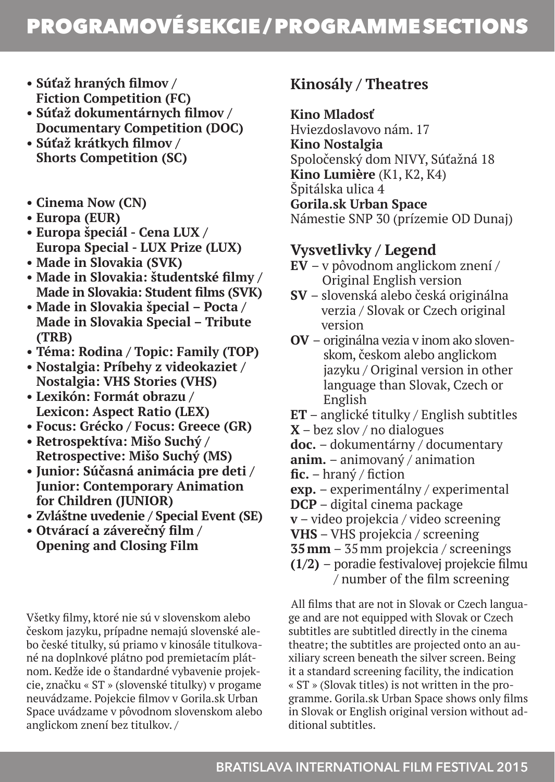# PROGRAMOVÉ SEKCIE / PROGRAMME SECTIONS

- **Súťaž hraných filmov / Fiction Competition (FC)**
- **Súťaž dokumentárnych filmov / Documentary Competition (DOC)**
- **Súťaž krátkych filmov / Shorts Competition (SC)**
- **Cinema Now (CN)**
- **Europa (EUR)**
- **Europa špeciál Cena LUX / Europa Special - LUX Prize (LUX)**
- **Made in Slovakia (SVK)**
- **Made in Slovakia: študentské filmy / Made in Slovakia: Student films (SVK)**
- **Made in Slovakia špecial Pocta / Made in Slovakia Special – Tribute (TRB)**
- **Téma: Rodina / Topic: Family (TOP)**
- **Nostalgia: Príbehy z videokaziet / Nostalgia: VHS Stories (VHS)**
- **Lexikón: Formát obrazu / Lexicon: Aspect Ratio (LEX)**
- **Focus: Grécko / Focus: Greece (GR)**
- **Retrospektíva: Mišo Suchý / Retrospective: Mišo Suchý (MS)**
- **Junior: Súčasná animácia pre deti / Junior: Contemporary Animation for Children (JUNIOR)**
- **Zvláštne uvedenie / Special Event (SE)**
- **Otvárací a záverečný film / Opening and Closing Film**

Všetky filmy, ktoré nie sú v slovenskom alebo českom jazyku, prípadne nemajú slovenské alebo české titulky, sú priamo v kinosále titulkované na doplnkové plátno pod premietacím plátnom. Kedže ide o štandardné vybavenie projekcie, značku « ST » (slovenské titulky) v progame neuvádzame. Pojekcie filmov v Gorila.sk Urban Space uvádzame v pôvodnom slovenskom alebo anglickom znení bez titulkov. /

# **Kinosály / Theatres**

#### **Kino Mladosť**

Hviezdoslavovo nám. 17 **Kino Nostalgia**  Spoločenský dom NIVY, Súťažná 18 **Kino Lumière** (K1, K2, K4) Špitálska ulica 4 **Gorila.sk Urban Space**  Námestie SNP 30 (prízemie OD Dunaj)

## **Vysvetlivky / Legend**

- **EV**  v pôvodnom anglickom znení / Original English version
- **SV**  slovenská alebo česká originálna verzia / Slovak or Czech original version
- **OV**  originálna vezia v inom ako slovenskom, českom alebo anglickom jazyku / Original version in other language than Slovak, Czech or English
- **ET** anglické titulky / English subtitles
- **X** bez slov / no dialogues
- **doc.**  dokumentárny / documentary
- **anim.**  animovaný / animation
- **fic.** hraný / fiction
- **exp.**  experimentálny / experimental
- **DCP** digital cinema package
- **v** video projekcia / video screening
- **VHS** VHS projekcia / screening
- **35mm** 35mm projekcia / screenings
- **(1/2)**  poradie festivalovej projekcie filmu / number of the film screening

 All films that are not in Slovak or Czech language and are not equipped with Slovak or Czech subtitles are subtitled directly in the cinema theatre; the subtitles are projected onto an auxiliary screen beneath the silver screen. Being it a standard screening facility, the indication « ST » (Slovak titles) is not written in the programme. Gorila.sk Urban Space shows only films in Slovak or English original version without additional subtitles.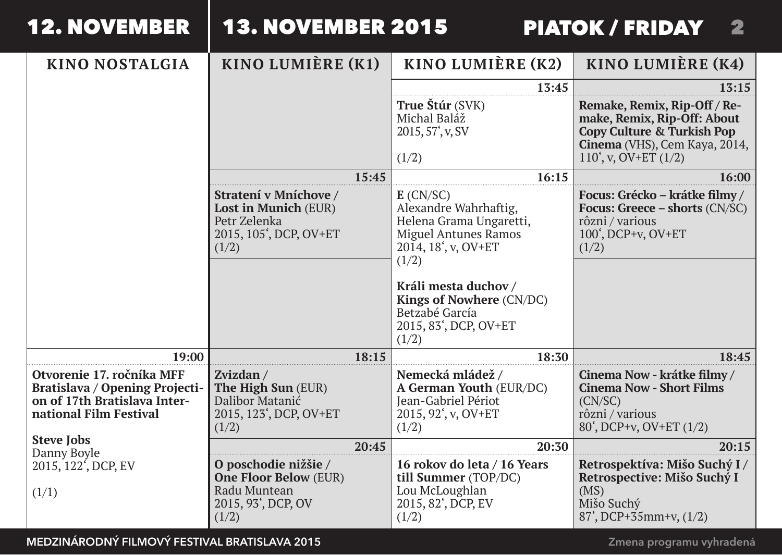| <b>12. NOVEMBER</b> |  |  |  |
|---------------------|--|--|--|
|                     |  |  |  |

# 2 PIATOK / FRIDAY

| <b>KINO NOSTALGIA</b>                                                                                                 | KINO LUMIÈRE (K1)                                                                                   | KINO LUMIÈRE (K2)                                                                                                                                                                                     | KINO LUMIÈRE (K4)                                                                                                                                   |
|-----------------------------------------------------------------------------------------------------------------------|-----------------------------------------------------------------------------------------------------|-------------------------------------------------------------------------------------------------------------------------------------------------------------------------------------------------------|-----------------------------------------------------------------------------------------------------------------------------------------------------|
|                                                                                                                       |                                                                                                     | 13:45                                                                                                                                                                                                 | 13:15                                                                                                                                               |
|                                                                                                                       |                                                                                                     | True Štúr (SVK)<br>Michal Baláž<br>2015, 57 <sup>'</sup> , v, SV<br>(1/2)                                                                                                                             | Remake, Remix, Rip-Off / Re-<br>make, Remix, Rip-Off: About<br>Copy Culture & Turkish Pop<br>Cinema (VHS), Cem Kaya, 2014,<br>110', v, $OV+ET(1/2)$ |
|                                                                                                                       | 15:45                                                                                               | 16:15                                                                                                                                                                                                 | 16:00                                                                                                                                               |
|                                                                                                                       | Stratení v Mníchove /<br>Lost in Munich (EUR)<br>Petr Zelenka<br>2015, 105', DCP, OV+ET<br>(1/2)    | $E$ (CN/SC)<br>Alexandre Wahrhaftig,<br>Helena Grama Ungaretti,<br><b>Miguel Antunes Ramos</b><br>$2014, 18, v, OV+ET$<br>(1/2)<br>Králi mesta duchov /<br>Kings of Nowhere (CN/DC)<br>Betzabé García | Focus: Grécko – krátke filmy /<br>Focus: Greece $-$ shorts $(CN/SC)$<br>rôzni / various<br>$100'$ , DCP+v, OV+ET<br>(1/2)                           |
|                                                                                                                       |                                                                                                     | 2015, 83', DCP, OV+ET<br>(1/2)                                                                                                                                                                        |                                                                                                                                                     |
| 19:00                                                                                                                 | 18:15                                                                                               | 18:30                                                                                                                                                                                                 | 18:45                                                                                                                                               |
| Otvorenie 17. ročníka MFF<br>Bratislava / Opening Projecti-<br>on of 17th Bratislava Inter-<br>national Film Festival | Zvizdan /<br>The High Sun (EUR)<br>Dalibor Matanić<br>2015, 123', DCP, OV+ET<br>(1/2)               | Nemecká mládež /<br>A German Youth (EUR/DC)<br><b>Jean-Gabriel Périot</b><br>2015, 92', v, OV+ET<br>(1/2)                                                                                             | Cinema Now - krátke filmy /<br><b>Cinema Now - Short Films</b><br>(CN/SC)<br>rôzni / various<br>80 <sup>'</sup> , DCP+v, OV+ET (1/2)                |
| <b>Steve Tobs</b><br>Danny Boyle                                                                                      | 20:45                                                                                               | 20:30                                                                                                                                                                                                 | 20:15                                                                                                                                               |
| 2015, 122 <sup>'</sup> , DCP, EV<br>(1/1)                                                                             | O poschodie nižšie /<br><b>One Floor Below (EUR)</b><br>Radu Muntean<br>2015, 93', DCP, OV<br>(1/2) | 16 rokov do leta / 16 Years<br>till Summer (TOP/DC)<br>Lou McLoughlan<br>2015, 82', DCP, EV<br>(1/2)                                                                                                  | Retrospektíva: Mišo Suchý I /<br>Retrospective: Mišo Suchý I<br>(MS)<br>Mišo Suchý<br>$87', DCP+35mm+v, (1/2)$                                      |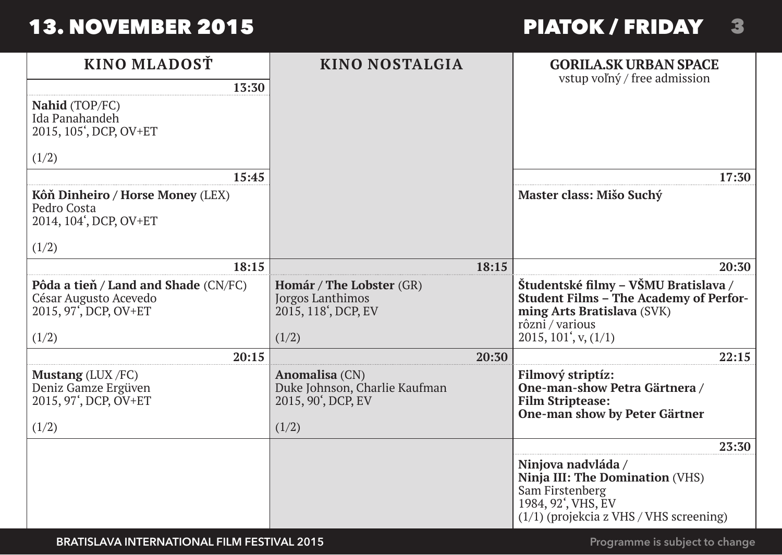# PIATOK / FRIDAY 23

| KINO MLADOSŤ                                                                                        | KINO NOSTALGIA                                                                 | <b>GORILA.SK URBAN SPACE</b>                                                                                                                |
|-----------------------------------------------------------------------------------------------------|--------------------------------------------------------------------------------|---------------------------------------------------------------------------------------------------------------------------------------------|
| 13:30                                                                                               |                                                                                | vstup voľný / free admission                                                                                                                |
| Nahid (TOP/FC)<br>Ida Panahandeh<br>2015, 105', DCP, OV+ET                                          |                                                                                |                                                                                                                                             |
| (1/2)                                                                                               |                                                                                |                                                                                                                                             |
| 15:45                                                                                               |                                                                                | 17:30                                                                                                                                       |
| Kôň Dinheiro / Horse Money (LEX)<br>Pedro Costa<br>2014, 104', DCP, OV+ET                           |                                                                                | Master class: Mišo Suchý                                                                                                                    |
| (1/2)                                                                                               |                                                                                |                                                                                                                                             |
| 18:15                                                                                               | 18:15                                                                          | 20:30                                                                                                                                       |
| Pôda a tieň / Land and Shade (CN/FC)<br>César Augusto Acevedo<br>2015, 97 <sup>°</sup> , DCP, OV+ET | Homár / The Lobster (GR)<br>Jorgos Lanthimos<br>2015, 118', DCP, EV            | Študentské filmy – VŠMU Bratislava /<br><b>Student Films - The Academy of Perfor-</b><br>ming Arts Bratislava (SVK)<br>rôzni / various      |
| (1/2)                                                                                               | (1/2)                                                                          | 2015, 101 <sup>'</sup> , v, (1/1)                                                                                                           |
| 20:15                                                                                               | 20:30                                                                          | 22:15                                                                                                                                       |
| <b>Mustang</b> (LUX $/FC$ )<br>Deniz Gamze Ergüven<br>2015, 97', DCP, OV+ET<br>(1/2)                | Anomalisa (CN)<br>Duke Johnson, Charlie Kaufman<br>2015, 90', DCP, EV<br>(1/2) | Filmový striptíz:<br>One-man-show Petra Gärtnera /<br><b>Film Striptease:</b><br>One-man show by Peter Gärtner                              |
|                                                                                                     |                                                                                | 23:30                                                                                                                                       |
|                                                                                                     |                                                                                | Ninjova nadvláda /<br>Ninja III: The Domination (VHS)<br>Sam Firstenberg<br>1984, 92', VHS, EV<br>$(1/1)$ (projekcia z VHS / VHS screening) |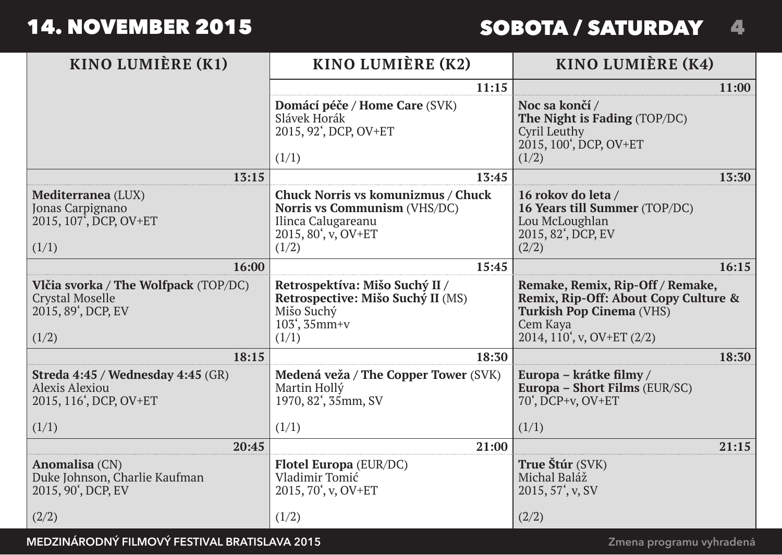# 4 SOBOTA / SATURDAY

| KINO LUMIÈRE (K1)                                                                             | KINO LUMIÈRE (K2)                                                                                                        | KINO LUMIÈRE (K4)                                                                                                                              |
|-----------------------------------------------------------------------------------------------|--------------------------------------------------------------------------------------------------------------------------|------------------------------------------------------------------------------------------------------------------------------------------------|
|                                                                                               | 11:15                                                                                                                    | 11:00                                                                                                                                          |
|                                                                                               | Domácí péče / Home Care (SVK)<br>Slávek Horák<br>2015, 92', DCP, OV+ET<br>(1/1)                                          | Noc sa končí /<br>The Night is Fading (TOP/DC)<br>Cyril Leuthy<br>2015, 100', DCP, OV+ET<br>(1/2)                                              |
| 13:15                                                                                         | 13:45                                                                                                                    | 13:30                                                                                                                                          |
| Mediterranea (LUX)<br>Jonas Carpignano<br>2015, 107 <sup>7</sup> , DCP, OV+ET<br>(1/1)        | Chuck Norris vs komunizmus / Chuck<br>Norris vs Communism (VHS/DC)<br>Ilinca Calugareanu<br>2015, 80', v, OV+ET<br>(1/2) | 16 rokov do leta /<br>16 Years till Summer (TOP/DC)<br>Lou McLoughlan<br>2015, 82', DCP, EV<br>(2/2)                                           |
| 16:00                                                                                         | 15:45                                                                                                                    | 16:15                                                                                                                                          |
| Vlčia svorka / The Wolfpack (TOP/DC)<br><b>Crystal Moselle</b><br>2015, 89', DCP, EV<br>(1/2) | Retrospektíva: Mišo Suchý II /<br>Retrospective: Mišo Suchý II (MS)<br>Mišo Suchý<br>$103', 35$ mm+v<br>(1/1)            | Remake, Remix, Rip-Off / Remake,<br>Remix, Rip-Off: About Copy Culture &<br>Turkish Pop Cinema (VHS)<br>Cem Kava<br>2014, 110', v, OV+ET (2/2) |
| 18:15                                                                                         | 18:30                                                                                                                    | 18:30                                                                                                                                          |
| Streda 4:45 / Wednesday 4:45 (GR)<br>Alexis Alexiou<br>2015, 116', DCP, OV+ET<br>(1/1)        | Medená veža / The Copper Tower (SVK)<br>Martin Hollý<br>1970, 82 <sup>'</sup> , 35mm, SV<br>(1/1)                        | Europa – krátke filmy /<br>Europa - Short Films (EUR/SC)<br>70', DCP+v, OV+ET<br>(1/1)                                                         |
| 20:45                                                                                         | 21:00                                                                                                                    | 21:15                                                                                                                                          |
| Anomalisa (CN)<br>Duke Johnson, Charlie Kaufman<br>2015, 90', DCP, EV                         | Flotel Europa (EUR/DC)<br>Vladimir Tomić<br>2015, 70', v, OV+ET                                                          | True Štúr (SVK)<br>Michal Baláž<br>2015, 57 <sup>'</sup> , v, SV                                                                               |
| (2/2)                                                                                         | (1/2)                                                                                                                    | (2/2)                                                                                                                                          |

**Medzinárodný filmový festival Bratislava 2015**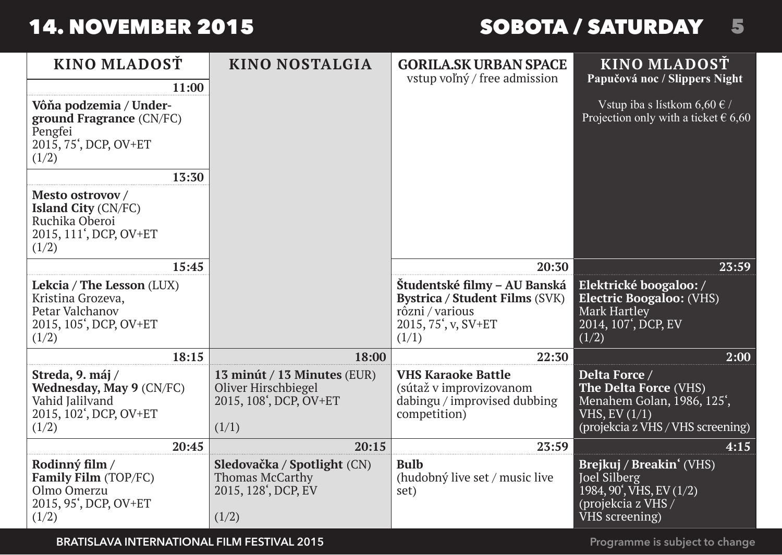# SOBOTA / SATURDAY45

| KINO MLADOST                                                                                         | KINO NOSTALGIA                                                                                     | <b>GORILA.SK URBAN SPACE</b>                                                                                      | KINO MLADOST                                                                                                                            |
|------------------------------------------------------------------------------------------------------|----------------------------------------------------------------------------------------------------|-------------------------------------------------------------------------------------------------------------------|-----------------------------------------------------------------------------------------------------------------------------------------|
| 11:00                                                                                                |                                                                                                    | vstup voľný / free admission                                                                                      | Papučová noc / Slippers Night                                                                                                           |
| Vôňa podzemia / Under-<br>ground Fragrance (CN/FC)<br>Pengfei<br>2015, 75', DCP, OV+ET<br>(1/2)      |                                                                                                    |                                                                                                                   | Vstup iba s lístkom 6,60 $\epsilon$ /<br>Projection only with a ticket $\epsilon$ 6,60                                                  |
| 13:30                                                                                                |                                                                                                    |                                                                                                                   |                                                                                                                                         |
| Mesto ostrovov /<br>Island City (CN/FC)<br>Ruchika Oberoi<br>2015, 111', DCP, OV+ET<br>(1/2)         |                                                                                                    |                                                                                                                   |                                                                                                                                         |
| 15:45                                                                                                |                                                                                                    | 20:30                                                                                                             | 23:59                                                                                                                                   |
| Lekcia / The Lesson (LUX)<br>Kristina Grozeva,<br>Petar Valchanov<br>2015, 105', DCP, OV+ET<br>(1/2) |                                                                                                    | Študentské filmy – AU Banská<br>Bystrica / Student Films (SVK)<br>rôzni / various<br>2015, 75', v, SV+ET<br>(1/1) | Elektrické boogaloo:/<br><b>Electric Boogaloo: (VHS)</b><br>Mark Hartley<br>2014, 107', DCP, EV<br>(1/2)                                |
| 18:15                                                                                                | 18:00                                                                                              | 22:30                                                                                                             | 2:00                                                                                                                                    |
| Streda, 9. máj /<br>Wednesday, May 9 (CN/FC)<br>Vahid Jalilvand<br>2015, 102', DCP, OV+ET<br>(1/2)   | 13 minút / 13 Minutes (EUR)<br>Oliver Hirschbiegel<br>2015, 108 <sup>4</sup> , DCP, OV+ET<br>(1/1) | <b>VHS Karaoke Battle</b><br>(sútaž v improvizovanom<br>dabingu / improvised dubbing<br>competition)              | Delta Force /<br>The Delta Force (VHS)<br>Menahem Golan, 1986, 125 <sup>'</sup> ,<br>VHS, EV (1/1)<br>(projekcia z VHS / VHS screening) |
| 20:45                                                                                                | 20:15                                                                                              | 23:59                                                                                                             | 4:15                                                                                                                                    |
| Rodinný film /<br>Family Film (TOP/FC)<br>Olmo Omerzu<br>2015, 95', DCP, OV+ET<br>(1/2)              | Sledovačka / Spotlight (CN)<br>Thomas McCarthy<br>2015, 128', DCP, EV<br>(1/2)                     | <b>Bulb</b><br>(hudobný live set / music live<br>set)                                                             | Brejkuj / Breakin' (VHS)<br>Joel Silberg<br>1984, 90 <sup>'</sup> , VHS, EV (1/2)<br>(projekcia z VHS /<br>VHS screening)               |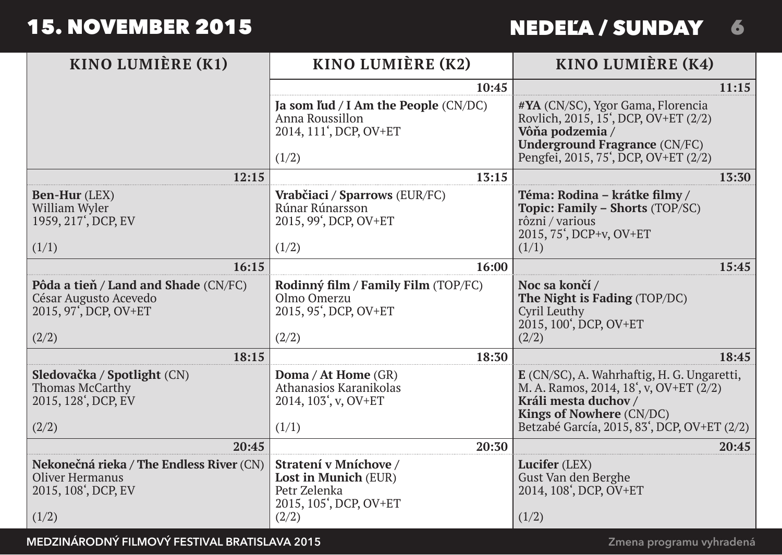|  | <b>NEDELA / SUNDAY</b> |  |
|--|------------------------|--|
|--|------------------------|--|

| KINO LUMIÈRE (K1)                                                                                        | KINO LUMIÈRE (K2)                                                                                | KINO LUMIÈRE (K4)                                                                                                                                                                                                 |  |
|----------------------------------------------------------------------------------------------------------|--------------------------------------------------------------------------------------------------|-------------------------------------------------------------------------------------------------------------------------------------------------------------------------------------------------------------------|--|
|                                                                                                          | 10:45                                                                                            | 11:15                                                                                                                                                                                                             |  |
|                                                                                                          | Ja som ľud / I Am the People $(CN/DC)$<br>Anna Roussillon<br>2014, 111', DCP, OV+ET<br>(1/2)     | #YA (CN/SC), Ygor Gama, Florencia<br>Rovlich, 2015, 15', DCP, OV+ET (2/2)<br>Vôňa podzemia /<br><b>Underground Fragrance (CN/FC)</b><br>Pengfei, 2015, 75', DCP, OV+ET (2/2)                                      |  |
| 12:15                                                                                                    | 13:15                                                                                            | 13:30                                                                                                                                                                                                             |  |
| Ben-Hur (LEX)<br>William Wyler<br>1959, 217 <sup>'</sup> , DCP, EV<br>(1/1)                              | Vrabčiaci / Sparrows (EUR/FC)<br>Rúnar Rúnarsson<br>2015, 99', DCP, OV+ET<br>(1/2)               | Téma: Rodina – krátke filmy /<br>Topic: Family - Shorts (TOP/SC)<br>rôzni / various<br>2015, 75', DCP+v, OV+ET<br>(1/1)                                                                                           |  |
| 16:15                                                                                                    | 16:00                                                                                            | 15:45                                                                                                                                                                                                             |  |
| Pôda a tieň / Land and Shade (CN/FC)<br>César Augusto Acevedo<br>2015, 97, DCP, OV+ET<br>(2/2)           | Rodinný film / Family Film (TOP/FC)<br>Olmo Omerzu<br>2015, 95', DCP, OV+ET<br>(2/2)             | Noc sa končí /<br>The Night is Fading (TOP/DC)<br>Cyril Leuthy<br>2015, 100', DCP, OV+ET<br>(2/2)                                                                                                                 |  |
| 18:15                                                                                                    | 18:30                                                                                            | 18:45                                                                                                                                                                                                             |  |
| Sledovačka / Spotlight (CN)<br>Thomas McCarthy<br>2015, 128', DCP, EV<br>(2/2)                           | Doma / At Home (GR)<br>Athanasios Karanikolas<br>2014, 103', v, OV+ET<br>(1/1)                   | E (CN/SC), A. Wahrhaftig, H. G. Ungaretti,<br>M. A. Ramos, 2014, 18 <sup>'</sup> , v, OV+ET (2/2)<br>Králi mesta duchov /<br>Kings of Nowhere (CN/DC)<br>Betzabé García, 2015, 83 <sup>'</sup> , DCP, OV+ET (2/2) |  |
| 20:45                                                                                                    | 20:30                                                                                            | 20:45                                                                                                                                                                                                             |  |
| Nekonečná rieka / The Endless River (CN)<br>Oliver Hermanus<br>2015, 108 <sup>'</sup> , DCP, EV<br>(1/2) | Stratení v Mníchove /<br>Lost in Munich (EUR)<br>Petr Zelenka<br>2015, 105', DCP, OV+ET<br>(2/2) | Lucifer (LEX)<br>Gust Van den Berghe<br>2014, 108', DCP, OV+ET<br>(1/2)                                                                                                                                           |  |

**Medzinárodný filmový festival Bratislava 2015**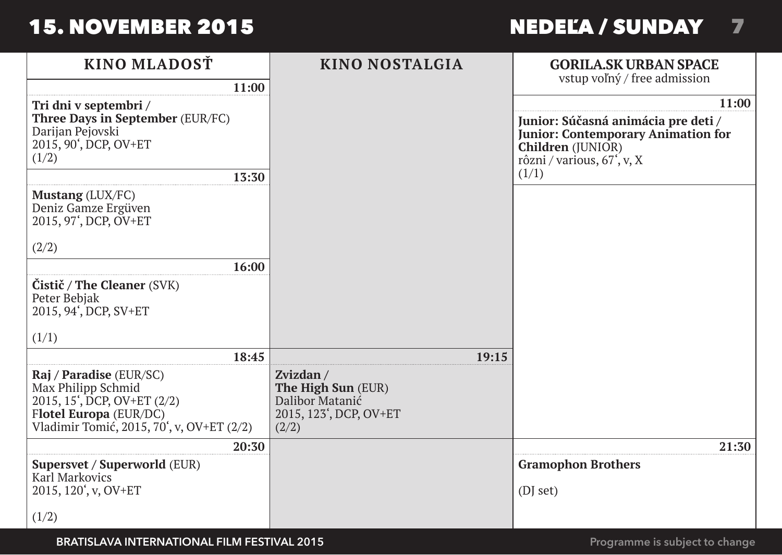# NEDEĽA / SUNDAY PIATOK / FRIDAY67

| KINO MLADOSŤ                                                                                                                                                     | KINO NOSTALGIA                                                                        | <b>GORILA.SK URBAN SPACE</b>                                                                                                                     |
|------------------------------------------------------------------------------------------------------------------------------------------------------------------|---------------------------------------------------------------------------------------|--------------------------------------------------------------------------------------------------------------------------------------------------|
| 11:00                                                                                                                                                            |                                                                                       | vstup voľný / free admission                                                                                                                     |
| Tri dni v septembri /                                                                                                                                            |                                                                                       | 11:00                                                                                                                                            |
| Three Days in September (EUR/FC)<br>Darijan Pejovski<br>2015, 90', DCP, OV+ET<br>(1/2)                                                                           |                                                                                       | Junior: Súčasná animácia pre deti /<br><b>Junior: Contemporary Animation for</b><br>Children (JUNIOR)<br>rôzni / various, 67 <sup>°</sup> , v, X |
| 13:30                                                                                                                                                            |                                                                                       | (1/1)                                                                                                                                            |
| <b>Mustang</b> (LUX/FC)<br>Deniz Gamze Ergüven<br>2015, 97', DCP, OV+ET                                                                                          |                                                                                       |                                                                                                                                                  |
| (2/2)                                                                                                                                                            |                                                                                       |                                                                                                                                                  |
| 16:00                                                                                                                                                            |                                                                                       |                                                                                                                                                  |
| Čistič / The Cleaner (SVK)<br>Peter Bebjak<br>2015, 94', DCP, SV+ET                                                                                              |                                                                                       |                                                                                                                                                  |
| (1/1)                                                                                                                                                            |                                                                                       |                                                                                                                                                  |
| 18:45                                                                                                                                                            | 19:15                                                                                 |                                                                                                                                                  |
| Raj / Paradise (EUR/SC)<br>Max Philipp Schmid<br>2015, 15 <sup>'</sup> , DCP, OV+ET (2/2)<br>Flotel Europa (EUR/DC)<br>Vladimir Tomić, 2015, 70', v, OV+ET (2/2) | Zvizdan /<br>The High Sun (EUR)<br>Dalibor Matanić<br>2015, 123', DCP, OV+ET<br>(2/2) |                                                                                                                                                  |
| 20:30                                                                                                                                                            |                                                                                       | 21:30                                                                                                                                            |
| Supersvet / Superworld (EUR)<br>Karl Markovics                                                                                                                   |                                                                                       | <b>Gramophon Brothers</b>                                                                                                                        |
| 2015, 120', v, OV+ET                                                                                                                                             |                                                                                       | (DJ set)                                                                                                                                         |
| (1/2)                                                                                                                                                            |                                                                                       |                                                                                                                                                  |

**BRATISLAVA INTERNATIONAL FILM FESTIVAL 2015**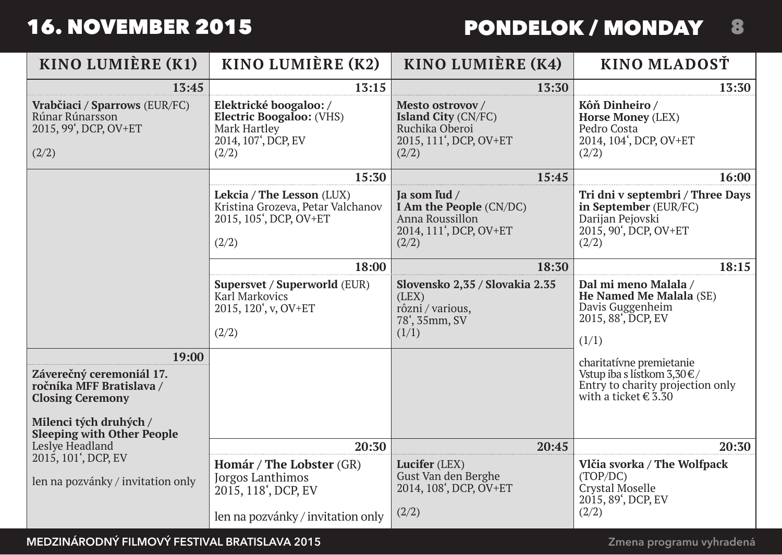# 8 PONDELOK / MONDAY

| KINO LUMIÈRE (K1)                                                                                                                                       | KINO LUMIÈRE (K2)                                                                                              | KINO LUMIÈRE (K4)                                                                             | KINO MLADOSŤ                                                                                                            |
|---------------------------------------------------------------------------------------------------------------------------------------------------------|----------------------------------------------------------------------------------------------------------------|-----------------------------------------------------------------------------------------------|-------------------------------------------------------------------------------------------------------------------------|
| 13:45                                                                                                                                                   | 13:15                                                                                                          | 13:30                                                                                         | 13:30                                                                                                                   |
| Vrabčiaci / Sparrows (EUR/FC)<br>Rúnar Rúnarsson<br>2015, 99', DCP, OV+ET<br>(2/2)                                                                      | Elektrické boogaloo:/<br>Electric Boogaloo: (VHS)<br>Mark Hartley<br>2014, 107 <sup>'</sup> , DCP, EV<br>(2/2) | Mesto ostrovov /<br>Island City (CN/FC)<br>Ruchika Oberoi<br>2015, 111', DCP, OV+ET<br>(2/2)  | Kôň Dinheiro /<br>Horse Money (LEX)<br>Pedro Costa<br>2014, 104', DCP, OV+ET<br>(2/2)                                   |
|                                                                                                                                                         | 15:30                                                                                                          | 15:45                                                                                         | 16:00                                                                                                                   |
|                                                                                                                                                         | Lekcia / The Lesson (LUX)<br>Kristina Grozeva, Petar Valchanov<br>2015, 105', DCP, OV+ET<br>(2/2)              | Ja som ľud /<br>I Am the People (CN/DC)<br>Anna Roussillon<br>2014, 111', DCP, OV+ET<br>(2/2) | Tri dni v septembri / Three Days<br>in September (EUR/FC)<br>Darijan Pejovski<br>2015, 90', DCP, OV+ET<br>(2/2)         |
|                                                                                                                                                         | 18:00                                                                                                          | 18:30                                                                                         | 18:15                                                                                                                   |
|                                                                                                                                                         | Supersvet / Superworld (EUR)<br>Karl Markovics<br>2015, 120', v, OV+ET<br>(2/2)                                | Slovensko 2.35 / Slovakia 2.35<br>(LEX)<br>rôzni / various,<br>78', 35mm, SV<br>(1/1)         | Dal mi meno Malala /<br>He Named Me Malala (SE)<br>Davis Guggenheim<br>2015, 88, DCP, EV<br>(1/1)                       |
| 19:00<br>Záverečný ceremoniál 17.<br>ročníka MFF Bratislava /<br><b>Closing Ceremony</b><br>Milenci tých druhých /<br><b>Sleeping with Other People</b> |                                                                                                                |                                                                                               | charitatívne premietanie<br>Vstup iba s lístkom 3,30 €/<br>Entry to charity projection only<br>with a ticket $\in$ 3.30 |
| Leslye Headland                                                                                                                                         | 20:30                                                                                                          | 20:45                                                                                         | 20:30                                                                                                                   |
| 2015, 101', DCP, EV<br>len na pozvánky / invitation only                                                                                                | Homár / The Lobster (GR)<br>Jorgos Lanthimos<br>2015, 118', DCP, EV<br>len na pozvánky / invitation only       | Lucifer (LEX)<br>Gust Van den Berghe<br>2014, 108', DCP, OV+ET<br>(2/2)                       | Vlčia svorka / The Wolfpack<br>(TOP/DC)<br>Crystal Moselle<br>2015, 89', DCP, EV<br>(2/2)                               |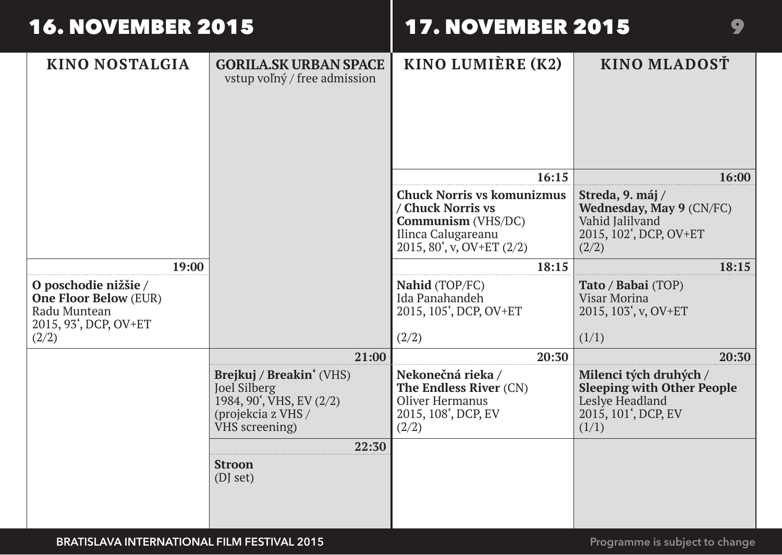# **17. NOVEMBER 2015**

| KINO NOSTALGIA                                                                                         | <b>GORILA.SK URBAN SPACE</b><br>vstup voľný / free admission                                                              | KINO LUMIÈRE (K2)                                                                                           | KINO MLADOST                                                                                                   |
|--------------------------------------------------------------------------------------------------------|---------------------------------------------------------------------------------------------------------------------------|-------------------------------------------------------------------------------------------------------------|----------------------------------------------------------------------------------------------------------------|
|                                                                                                        |                                                                                                                           | 16:15<br><b>Chuck Norris vs komunizmus</b>                                                                  | 16:00                                                                                                          |
|                                                                                                        |                                                                                                                           | / Chuck Norris vs<br>Communism (VHS/DC)<br>Ilinca Calugareanu<br>$2015, 80', v, OV+ET(2/2)$                 | Streda, 9. máj /<br>Wednesday, May 9 (CN/FC)<br>Vahid Jalilvand<br>2015, 102', DCP, OV+ET<br>(2/2)             |
| 19:00                                                                                                  |                                                                                                                           | 18:15                                                                                                       | 18:15                                                                                                          |
| O poschodie nižšie /<br><b>One Floor Below (EUR)</b><br>Radu Muntean<br>2015, 93', DCP, OV+ET<br>(2/2) |                                                                                                                           | Nahid (TOP/FC)<br>Ida Panahandeh<br>2015, 105 <sup>'</sup> , DCP, OV+ET<br>(2/2)                            | <b>Tato / Babai (TOP)</b><br>Visar Morina<br>2015, 103', v, OV+ET<br>(1/1)                                     |
|                                                                                                        | 21:00                                                                                                                     | 20:30                                                                                                       | 20:30                                                                                                          |
|                                                                                                        | Brejkuj / Breakin' (VHS)<br>Joel Silberg<br>1984, 90 <sup>'</sup> , VHS, EV (2/2)<br>(projekcia z VHS /<br>VHS screening) | Nekonečná rieka /<br>The Endless River (CN)<br>Oliver Hermanus<br>2015, 108 <sup>'</sup> , DCP, EV<br>(2/2) | Milenci tých druhých /<br><b>Sleeping with Other People</b><br>Leslye Headland<br>2015, 101', DCP, EV<br>(1/1) |
|                                                                                                        | 22:30<br><b>Stroon</b><br>(DI set)                                                                                        |                                                                                                             |                                                                                                                |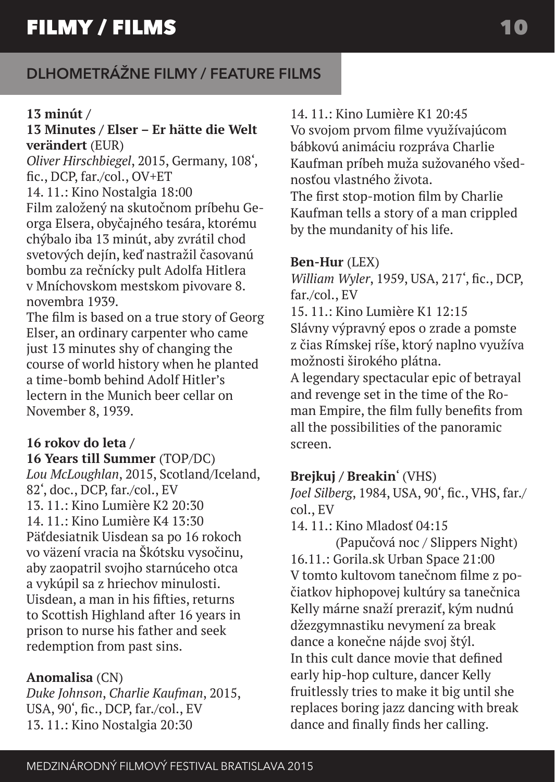#### **13 minút /**

#### **13 Minutes / Elser – Er hätte die Welt verändert** (EUR)

*Oliver Hirschbiegel*, 2015, Germany, 108', fic., DCP, far./col., OV+ET 14. 11.: Kino Nostalgia 18:00 Film založený na skutočnom príbehu Georga Elsera, obyčajného tesára, ktorému chýbalo iba 13 minút, aby zvrátil chod svetových dejín, keď nastražil časovanú bombu za rečnícky pult Adolfa Hitlera v Mníchovskom mestskom pivovare 8. novembra 1939.

The film is based on a true story of Georg Elser, an ordinary carpenter who came just 13 minutes shy of changing the course of world history when he planted a time-bomb behind Adolf Hitler's lectern in the Munich beer cellar on November 8, 1939.

### **16 rokov do leta /**

**16 Years till Summer** (TOP/DC) *Lou McLoughlan*, 2015, Scotland/Iceland, 82', doc., DCP, far./col., EV 13. 11.: Kino Lumière K2 20:30  $14.11 \cdot$  Kino Lumière K4 13:30 Päťdesiatnik Uisdean sa po 16 rokoch vo väzení vracia na Škótsku vysočinu, aby zaopatril svojho starnúceho otca a vykúpil sa z hriechov minulosti. Uisdean, a man in his fifties, returns to Scottish Highland after 16 years in prison to nurse his father and seek redemption from past sins.

#### **Anomalisa** (CN)

*Duke Johnson*, *Charlie Kaufman*, 2015, USA, 90', fic., DCP, far./col., EV 13. 11.: Kino Nostalgia 20:30

#### 14. 11.: Kino Lumière K1 20:45

Vo svojom prvom filme využívajúcom bábkovú animáciu rozpráva Charlie Kaufman príbeh muža sužovaného všednosťou vlastného života. The first stop-motion film by Charlie

Kaufman tells a story of a man crippled by the mundanity of his life.

#### **Ben-Hur** (LEX)

*William Wyler*, 1959, USA, 217', fic., DCP, far./col., EV 15. 11.: Kino Lumière K1 12:15 Slávny výpravný epos o zrade a pomste z čias Rímskej ríše, ktorý naplno využíva možnosti širokého plátna.

A legendary spectacular epic of betrayal and revenge set in the time of the Roman Empire, the film fully benefits from all the possibilities of the panoramic screen.

### **Brejkuj / Breakin**' (VHS)

*Joel Silberg*, 1984, USA, 90', fic., VHS, far./ col., EV

14. 11.: Kino Mladosť 04 $\cdot$ 15

(Papučová noc / Slippers Night) 16.11.: Gorila.sk Urban Space 21:00 V tomto kultovom tanečnom filme z počiatkov hiphopovej kultúry sa tanečnica Kelly márne snaží preraziť, kým nudnú džezgymnastiku nevymení za break dance a konečne nájde svoj štýl. In this cult dance movie that defined early hip-hop culture, dancer Kelly fruitlessly tries to make it big until she replaces boring jazz dancing with break dance and finally finds her calling.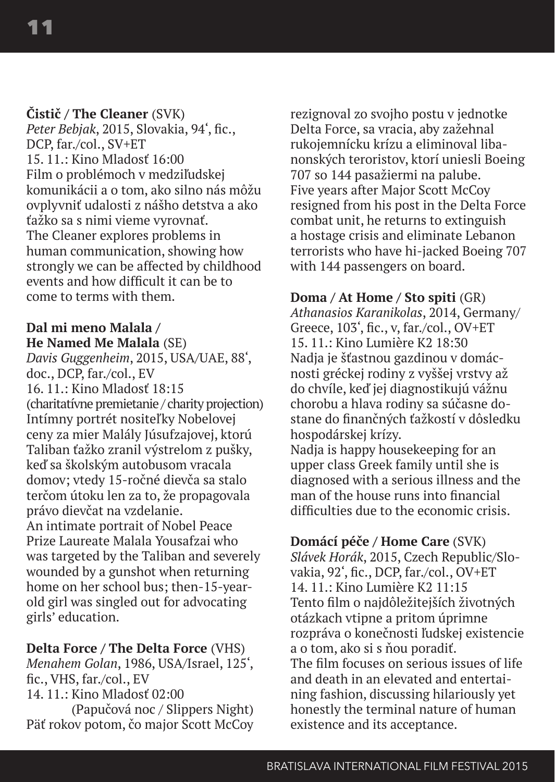#### **Čistič / The Cleaner** (SVK)

*Peter Bebjak*, 2015, Slovakia, 94', fic., DCP, far./col., SV+ET 15. 11.: Kino Mladosť 16:00 Film o problémoch v medziľudskej komunikácii a o tom, ako silno nás môžu ovplyvniť udalosti z nášho detstva a ako ťažko sa s nimi vieme vyrovnať. The Cleaner explores problems in human communication, showing how strongly we can be affected by childhood events and how difficult it can be to come to terms with them.

#### **Dal mi meno Malala / He Named Me Malala** (SE)

*Davis Guggenheim*, 2015, USA/UAE, 88', doc., DCP, far./col., EV 16. 11.: Kino Mladosť 18:15 (charitatívne premietanie / charity projection) Intímny portrét nositeľky Nobelovej ceny za mier Malály Júsufzajovej, ktorú Taliban ťažko zranil výstrelom z pušky, keď sa školským autobusom vracala domov; vtedy 15-ročné dievča sa stalo terčom útoku len za to, že propagovala právo dievčat na vzdelanie. An intimate portrait of Nobel Peace Prize Laureate Malala Yousafzai who was targeted by the Taliban and severely wounded by a gunshot when returning home on her school bus; then-15-yearold girl was singled out for advocating girls' education.

#### **Delta Force / The Delta Force** (VHS)

*Menahem Golan*, 1986, USA/Israel, 125', fic., VHS, far./col., EV 14. 11.: Kino Mladosť 02:00

(Papučová noc / Slippers Night) Päť rokov potom, čo major Scott McCoy rezignoval zo svojho postu v jednotke Delta Force, sa vracia, aby zažehnal rukojemnícku krízu a eliminoval libanonských teroristov, ktorí uniesli Boeing 707 so 144 pasažiermi na palube. Five years after Major Scott McCoy resigned from his post in the Delta Force combat unit, he returns to extinguish a hostage crisis and eliminate Lebanon terrorists who have hi-jacked Boeing 707 with 144 passengers on board.

#### **Doma / At Home / Sto spiti** (GR)

*Athanasios Karanikolas*, 2014, Germany/ Greece, 103', fic., v, far./col., OV+ET 15. 11.: Kino Lumière K2 18:30 Nadja je šťastnou gazdinou v domácnosti gréckej rodiny z vyššej vrstvy až do chvíle, keď jej diagnostikujú vážnu chorobu a hlava rodiny sa súčasne dostane do finančných ťažkostí v dôsledku hospodárskej krízy.

Nadja is happy housekeeping for an upper class Greek family until she is diagnosed with a serious illness and the man of the house runs into financial difficulties due to the economic crisis.

#### **Domácí péče / Home Care** (SVK) *Slávek Horák*, 2015, Czech Republic/Slovakia, 92', fic., DCP, far./col., OV+ET 14. 11.: Kino Lumière K2 11:15 Tento film o najdôležitejších životných otázkach vtipne a pritom úprimne rozpráva o konečnosti ľudskej existencie a o tom, ako si s ňou poradiť. The film focuses on serious issues of life and death in an elevated and entertaining fashion, discussing hilariously yet honestly the terminal nature of human existence and its acceptance.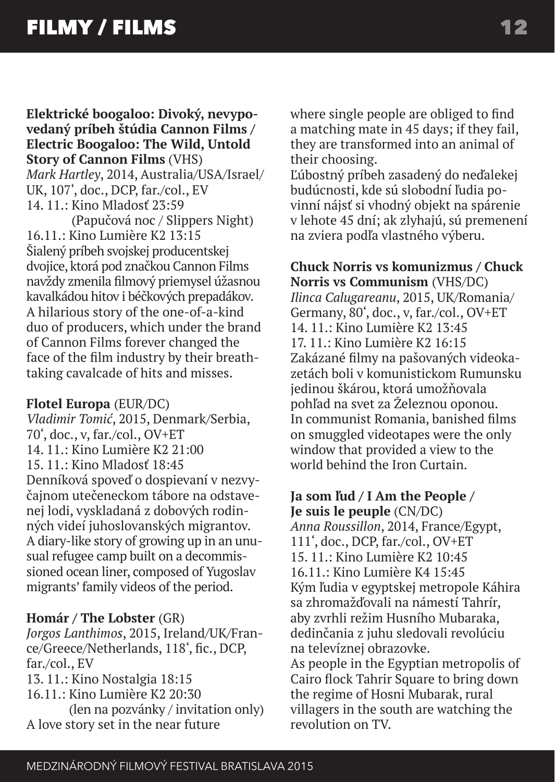**Elektrické boogaloo: Divoký, nevypovedaný príbeh štúdia Cannon Films / Electric Boogaloo: The Wild, Untold Story of Cannon Films** (VHS) *Mark Hartley*, 2014, Australia/USA/Israel/ UK, 107', doc., DCP, far./col., EV 14. 11.: Kino Mladosť 23:59

(Papučová noc / Slippers Night) 16.11.: Kino Lumière K2 13:15 Šialený príbeh svojskej producentskej dvojice, ktorá pod značkou Cannon Films navždy zmenila filmový priemysel úžasnou kavalkádou hitov i béčkových prepadákov. A hilarious story of the one-of-a-kind duo of producers, which under the brand of Cannon Films forever changed the face of the film industry by their breathtaking cavalcade of hits and misses.

#### **Flotel Europa** (EUR/DC)

*Vladimir Tomić*, 2015, Denmark/Serbia, 70', doc., v, far./col., OV+ET 14. 11.: Kino Lumière K2 21:00 15. 11.: Kino Mladosť 18:45 Denníková spoveď o dospievaní v nezvyčajnom utečeneckom tábore na odstavenej lodi, vyskladaná z dobových rodinných videí juhoslovanských migrantov. A diary-like story of growing up in an unusual refugee camp built on a decommissioned ocean liner, composed of Yugoslav migrants' family videos of the period.

#### **Homár / The Lobster** (GR)

*Jorgos Lanthimos*, 2015, Ireland/UK/France/Greece/Netherlands, 118', fic., DCP, far./col., EV 13. 11.: Kino Nostalgia 18:15 16.11.: Kino Lumière K2 20:30 (len na pozvánky / invitation only)

A love story set in the near future

where single people are obliged to find a matching mate in 45 days; if they fail, they are transformed into an animal of their choosing.

Ľúbostný príbeh zasadený do neďalekej budúcnosti, kde sú slobodní ľudia povinní nájsť si vhodný objekt na spárenie v lehote 45 dní; ak zlyhajú, sú premenení na zviera podľa vlastného výberu.

**Chuck Norris vs komunizmus / Chuck Norris vs Communism** (VHS/DC) *Ilinca Calugareanu*, 2015, UK/Romania/

Germany, 80', doc., v, far./col., OV+ET 14. 11.: Kino Lumière K2 13:45 17. 11.: Kino Lumière K2 16:15 Zakázané filmy na pašovaných videokazetách boli v komunistickom Rumunsku jedinou škárou, ktorá umožňovala pohľad na svet za Železnou oponou. In communist Romania, banished films on smuggled videotapes were the only window that provided a view to the world behind the Iron Curtain.

#### **Ja som ľud / I Am the People / Je suis le peuple** (CN/DC)

*Anna Roussillon*, 2014, France/Egypt, 111', doc., DCP, far./col., OV+ET 15. 11.: Kino Lumière K2 10:45 16.11.: Kino Lumière K4 15:45 Kým ľudia v egyptskej metropole Káhira sa zhromažďovali na námestí Tahrír, aby zvrhli režim Husního Mubaraka, dedinčania z juhu sledovali revolúciu na televíznej obrazovke.

As people in the Egyptian metropolis of Cairo flock Tahrir Square to bring down the regime of Hosni Mubarak, rural villagers in the south are watching the revolution on TV.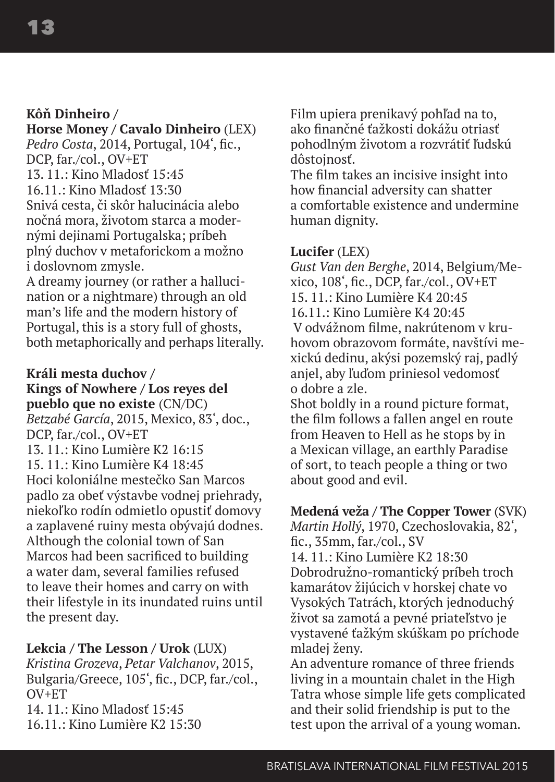#### **Kôň Dinheiro /**

#### **Horse Money / Cavalo Dinheiro** (LEX) *Pedro Costa*, 2014, Portugal, 104', fic., DCP, far./col., OV+ET

 $15.11 \cdot$  Kino Mladosť 15:45 16.11.: Kino Mladosť 13:30 Snivá cesta, či skôr halucinácia alebo nočná mora, životom starca a modernými dejinami Portugalska; príbeh plný duchov v metaforickom a možno i doslovnom zmysle.

A dreamy journey (or rather a hallucination or a nightmare) through an old man's life and the modern history of Portugal, this is a story full of ghosts, both metaphorically and perhaps literally.

#### **Králi mesta duchov /**

**Kings of Nowhere / Los reyes del pueblo que no existe** (CN/DC) *Betzabé García*, 2015, Mexico, 83', doc., DCP, far./col., OV+ET 13. 11.: Kino Lumière K2 16:15 15. 11.: Kino Lumière K4 18:45 Hoci koloniálne mestečko San Marcos padlo za obeť výstavbe vodnej priehrady, niekoľko rodín odmietlo opustiť domovy a zaplavené ruiny mesta obývajú dodnes. Although the colonial town of San Marcos had been sacrificed to building a water dam, several families refused to leave their homes and carry on with their lifestyle in its inundated ruins until the present day.

#### **Lekcia / The Lesson / Urok** (LUX)

*Kristina Grozeva*, *Petar Valchanov*, 2015, Bulgaria/Greece, 105', fic., DCP, far./col.,  $OVI + ET$ 14. 11.: Kino Mladosť 15:45

16.11.: Kino Lumière K2 15:30

Film upiera prenikavý pohľad na to, ako finančné ťažkosti dokážu otriasť pohodlným životom a rozvrátiť ľudskú dôstojnosť.

The film takes an incisive insight into how financial adversity can shatter a comfortable existence and undermine human dignity.

#### **Lucifer** (LEX)

*Gust Van den Berghe*, 2014, Belgium/Mexico, 108', fic., DCP, far./col., OV+ET 15. 11.: Kino Lumière K4 20:45 16.11.: Kino Lumière K4 20:45 V odvážnom filme, nakrútenom v kruhovom obrazovom formáte, navštívi mexickú dedinu, akýsi pozemský raj, padlý anjel, aby ľuďom priniesol vedomosť o dobre a zle.

Shot boldly in a round picture format, the film follows a fallen angel en route from Heaven to Hell as he stops by in a Mexican village, an earthly Paradise of sort, to teach people a thing or two about good and evil.

**Medená veža / The Copper Tower** (SVK) *Martin Hollý*, 1970, Czechoslovakia, 82',

fic., 35mm, far./col., SV 14. 11.: Kino Lumière K2 18:30 Dobrodružno-romantický príbeh troch kamarátov žijúcich v horskej chate vo Vysokých Tatrách, ktorých jednoduchý život sa zamotá a pevné priateľstvo je vystavené ťažkým skúškam po príchode mladej ženy.

An adventure romance of three friends living in a mountain chalet in the High Tatra whose simple life gets complicated and their solid friendship is put to the test upon the arrival of a young woman.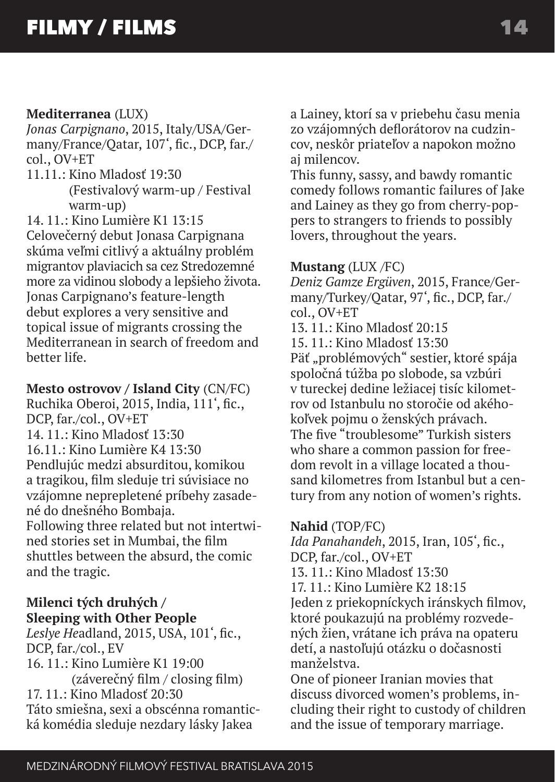#### **Mediterranea** (LUX)

*Jonas Carpignano*, 2015, Italy/USA/Germany/France/Qatar, 107', fic., DCP, far./ col., OV+ET

 $11.11 \cdot$  Kino Mladosť 19 $\cdot$ 30 (Festivalový warm-up / Festival warm-up)

14. 11.: Kino Lumière K1 13:15

Celovečerný debut Jonasa Carpignana skúma veľmi citlivý a aktuálny problém migrantov plaviacich sa cez Stredozemné more za vidinou slobody a lepšieho života. Jonas Carpignano's feature-length debut explores a very sensitive and topical issue of migrants crossing the Mediterranean in search of freedom and better life.

#### **Mesto ostrovov / Island City** (CN/FC)

Ruchika Oberoi, 2015, India, 111', fic., DCP, far./col., OV+ET 14. 11.: Kino Mladosť 13:30 16.11.: Kino Lumière K4 13:30 Pendlujúc medzi absurditou, komikou a tragikou, film sleduje tri súvisiace no vzájomne neprepletené príbehy zasadené do dnešného Bombaja. Following three related but not intertwined stories set in Mumbai, the film shuttles between the absurd, the comic and the tragic.

#### **Milenci tých druhých / Sleeping with Other People**

*Leslye He*adland, 2015, USA, 101', fic., DCP, far./col., EV 16. 11.: Kino Lumière K1 19:00 (záverečný film / closing film) 17. 11.: Kino Mladosť 20:30 Táto smiešna, sexi a obscénna romantická komédia sleduje nezdary lásky Jakea

a Lainey, ktorí sa v priebehu času menia zo vzájomných deflorátorov na cudzincov, neskôr priateľov a napokon možno aj milencov.

This funny, sassy, and bawdy romantic comedy follows romantic failures of Jake and Lainey as they go from cherry-poppers to strangers to friends to possibly lovers, throughout the years.

#### **Mustang** (LUX /FC)

*Deniz Gamze Ergüven*, 2015, France/Germany/Turkey/Qatar, 97', fic., DCP, far./ col., OV+ET 13. 11.: Kino Mladosť 20:15

15. 11.: Kino Mladosť 13:30

Päť "problémových" sestier, ktoré spája spoločná túžba po slobode, sa vzbúri v tureckej dedine ležiacej tisíc kilometrov od Istanbulu no storočie od akéhokoľvek pojmu o ženských právach. The five "troublesome" Turkish sisters who share a common passion for freedom revolt in a village located a thousand kilometres from Istanbul but a century from any notion of women's rights.

#### **Nahid** (TOP/FC)

*Ida Panahandeh*, 2015, Iran, 105', fic., DCP, far./col., OV+ET 13. 11.: Kino Mladosť 13:30 17. 11.: Kino Lumière K2 18:15 Jeden z priekopníckych iránskych filmov, ktoré poukazujú na problémy rozvedených žien, vrátane ich práva na opateru detí, a nastoľujú otázku o dočasnosti manželstva.

One of pioneer Iranian movies that discuss divorced women's problems, including their right to custody of children and the issue of temporary marriage.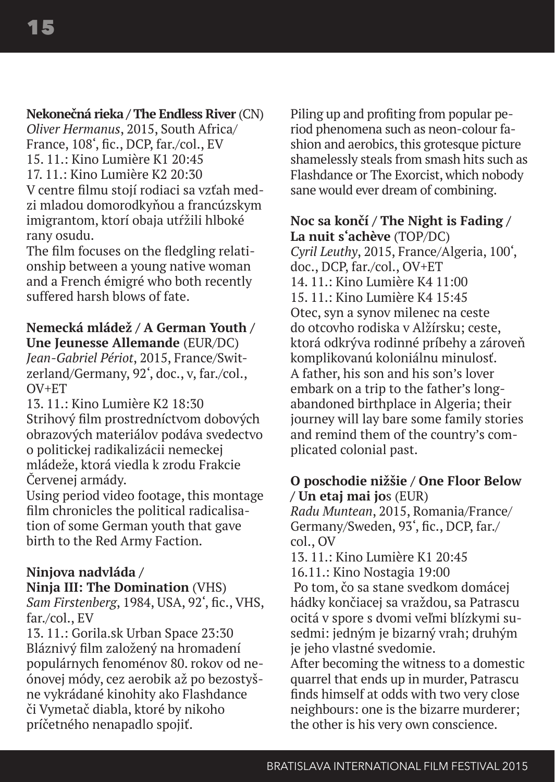#### **Nekonečná rieka / The Endless River** (CN)

*Oliver Hermanus*, 2015, South Africa/ France, 108', fic., DCP, far./col., EV 15. 11.: Kino Lumière K1 20:45  $17.11 \cdot$  Kino Lumière K2 20:30 V centre filmu stojí rodiaci sa vzťah medzi mladou domorodkyňou a francúzskym imigrantom, ktorí obaja utŕžili hlboké rany osudu.

The film focuses on the fledgling relationship between a young native woman and a French émigré who both recently suffered harsh blows of fate.

#### **Nemecká mládež / A German Youth / Une Jeunesse Allemande** (EUR/DC)

*Jean-Gabriel Périot*, 2015, France/Switzerland/Germany, 92', doc., v, far./col.,  $O$ V+FT

13. 11.: Kino Lumière K2 18:30 Strihový film prostredníctvom dobových obrazových materiálov podáva svedectvo o politickej radikalizácii nemeckej mládeže, ktorá viedla k zrodu Frakcie Červenej armády.

Using period video footage, this montage film chronicles the political radicalisation of some German youth that gave birth to the Red Army Faction.

#### **Ninjova nadvláda /**

**Ninja III: The Domination** (VHS) *Sam Firstenberg*, 1984, USA, 92', fic., VHS, far./col., EV

13. 11.: Gorila.sk Urban Space 23:30 Bláznivý film založený na hromadení populárnych fenoménov 80. rokov od neónovej módy, cez aerobik až po bezostyšne vykrádané kinohity ako Flashdance či Vymetač diabla, ktoré by nikoho príčetného nenapadlo spojiť.

Piling up and profiting from popular period phenomena such as neon-colour fashion and aerobics, this grotesque picture shamelessly steals from smash hits such as Flashdance or The Exorcist, which nobody sane would ever dream of combining.

#### **Noc sa končí / The Night is Fading / La nuit s'achève** (TOP/DC)

*Cyril Leuthy*, 2015, France/Algeria, 100', doc., DCP, far./col., OV+ET  $14.11 \cdot$  Kino Lumière K4  $11 \cdot 00$ 15. 11  $\cdot$  Kino Lumière K4 15 $\cdot$ 45 Otec, syn a synov milenec na ceste do otcovho rodiska v Alžírsku; ceste, ktorá odkrýva rodinné príbehy a zároveň komplikovanú koloniálnu minulosť. A father, his son and his son's lover embark on a trip to the father's longabandoned birthplace in Algeria; their journey will lay bare some family stories and remind them of the country's complicated colonial past.

#### **O poschodie nižšie / One Floor Below / Un etaj mai jo**s (EUR)

*Radu Muntean*, 2015, Romania/France/ Germany/Sweden, 93', fic., DCP, far./ col., OV

13. 11.: Kino Lumière K1 20:45

16.11.: Kino Nostagia 19:00 Po tom, čo sa stane svedkom domácej hádky končiacej sa vraždou, sa Patrascu ocitá v spore s dvomi veľmi blízkymi susedmi: jedným je bizarný vrah; druhým je jeho vlastné svedomie.

After becoming the witness to a domestic quarrel that ends up in murder, Patrascu finds himself at odds with two very close neighbours: one is the bizarre murderer; the other is his very own conscience.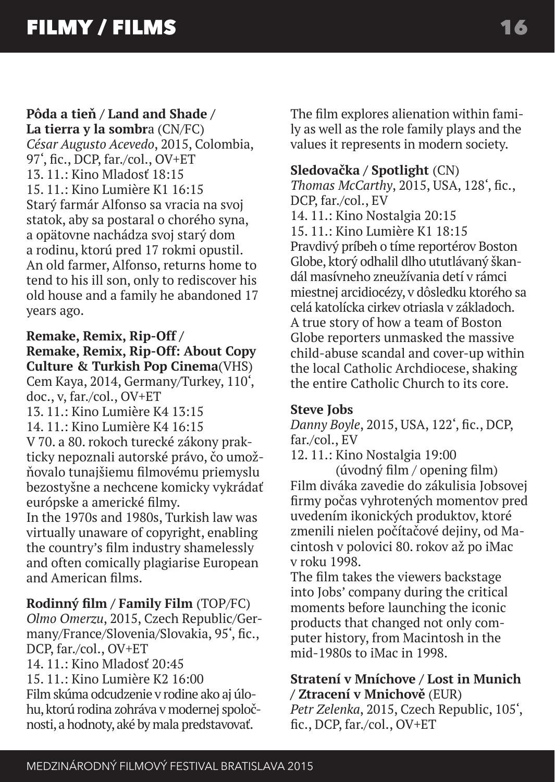#### **Pôda a tieň / Land and Shade /**

**La tierra y la sombr**a (CN/FC) *César Augusto Acevedo*, 2015, Colombia, 97', fic., DCP, far./col., OV+ET  $13.11 \cdot$  Kino Mladosť  $18.15$ 15. 11  $\cdot$  Kino Lumière K1 16 $\cdot$ 15 Starý farmár Alfonso sa vracia na svoj statok, aby sa postaral o chorého syna, a opätovne nachádza svoj starý dom a rodinu, ktorú pred 17 rokmi opustil. An old farmer, Alfonso, returns home to tend to his ill son, only to rediscover his old house and a family he abandoned 17 years ago.

#### **Remake, Remix, Rip-Off /**

**Remake, Remix, Rip-Off: About Copy Culture & Turkish Pop Cinema**(VHS) Cem Kaya, 2014, Germany/Turkey, 110',

doc., v, far./col., OV+ET

13. 11  $\cdot$  Kino Lumière K4 13 $\cdot$ 15

14. 11.: Kino Lumière K4 16:15

V 70. a 80. rokoch turecké zákony prakticky nepoznali autorské právo, čo umožňovalo tunajšiemu filmovému priemyslu bezostyšne a nechcene komicky vykrádať európske a americké filmy.

In the 1970s and 1980s, Turkish law was virtually unaware of copyright, enabling the country's film industry shamelessly and often comically plagiarise European and American films.

**Rodinný film / Family Film** (TOP/FC) *Olmo Omerzu*, 2015, Czech Republic/Ger-

many/France/Slovenia/Slovakia, 95', fic., DCP, far./col., OV+ET

14. 11.: Kino Mladosť  $20.45$ 

15. 11.: Kino Lumière K2 16:00 Film skúma odcudzenie v rodine ako aj úlohu, ktorú rodina zohráva v modernej spoločnosti, a hodnoty, aké by mala predstavovať.

The film explores alienation within family as well as the role family plays and the values it represents in modern society.

#### **Sledovačka / Spotlight** (CN)

*Thomas McCarthy*, 2015, USA, 128', fic., DCP, far./col., EV 14. 11.: Kino Nostalgia 20:15 15. 11.: Kino Lumière K1 18:15 Pravdivý príbeh o tíme reportérov Boston Globe, ktorý odhalil dlho ututlávaný škandál masívneho zneužívania detí v rámci miestnej arcidiocézy, v dôsledku ktorého sa celá katolícka cirkev otriasla v základoch. A true story of how a team of Boston Globe reporters unmasked the massive child-abuse scandal and cover-up within the local Catholic Archdiocese, shaking the entire Catholic Church to its core.

#### **Steve Jobs**

*Danny Boyle*, 2015, USA, 122', fic., DCP, far./col., EV

12. 11.: Kino Nostalgia 19:00

(úvodný film / opening film) Film diváka zavedie do zákulisia Jobsovej firmy počas vyhrotených momentov pred uvedením ikonických produktov, ktoré zmenili nielen počítačové dejiny, od Macintosh v polovici 80. rokov až po iMac v roku 1998.

The film takes the viewers backstage into Jobs' company during the critical moments before launching the iconic products that changed not only computer history, from Macintosh in the mid-1980s to iMac in 1998.

#### **Stratení v Mníchove / Lost in Munich / Ztracení v Mnichově** (EUR)

*Petr Zelenka*, 2015, Czech Republic, 105', fic., DCP, far./col., OV+ET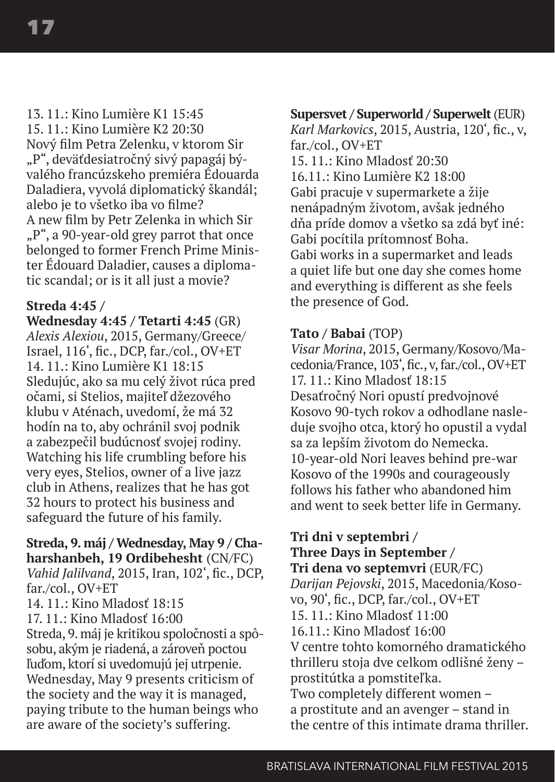13. 11.: Kino Lumière K1 15:45 15. 11.: Kino Lumière K2 20:30 Nový film Petra Zelenku, v ktorom Sir "P", deväťdesiatročný sivý papagáj bývalého francúzskeho premiéra Édouarda Daladiera, vyvolá diplomatický škandál; alebo je to všetko iba vo filme? A new film by Petr Zelenka in which Sir "P", a 90-year-old grey parrot that once belonged to former French Prime Minister Édouard Daladier, causes a diplomatic scandal; or is it all just a movie?

#### **Streda 4:45 /**

**Wednesday 4:45 / Tetarti 4:45** (GR) *Alexis Alexiou*, 2015, Germany/Greece/ Israel, 116', fic., DCP, far./col., OV+ET 14. 11.: Kino Lumière K1 18:15 Sledujúc, ako sa mu celý život rúca pred očami, si Stelios, majiteľ džezového klubu v Aténach, uvedomí, že má 32 hodín na to, aby ochránil svoj podnik a zabezpečil budúcnosť svojej rodiny. Watching his life crumbling before his very eyes, Stelios, owner of a live jazz club in Athens, realizes that he has got 32 hours to protect his business and safeguard the future of his family.

#### **Streda, 9. máj / Wednesday, May 9 / Chaharshanbeh, 19 Ordibehesht** (CN/FC) *Vahid Jalilvand*, 2015, Iran, 102', fic., DCP, far./col., OV+ET

14. 11.: Kino Mladosť 18:15

17. 11.: Kino Mladosť 16:00

Streda, 9. máj je kritikou spoločnosti a spôsobu, akým je riadená, a zároveň poctou ľuďom, ktorí si uvedomujú jej utrpenie. Wednesday, May 9 presents criticism of the society and the way it is managed, paying tribute to the human beings who are aware of the society's suffering.

#### **Supersvet / Superworld / Superwelt** (EUR)

*Karl Markovics*, 2015, Austria, 120', fic., v, far./col., OV+ET  $15.11 \cdot$  Kino Mladosť 20:30 16.11.: Kino Lumière K2 18:00 Gabi pracuje v supermarkete a žije nenápadným životom, avšak jedného dňa príde domov a všetko sa zdá byť iné: Gabi pocítila prítomnosť Boha. Gabi works in a supermarket and leads a quiet life but one day she comes home and everything is different as she feels the presence of God.

#### **Tato / Babai** (TOP)

*Visar Morina*, 2015, Germany/Kosovo/Macedonia/France, 103', fic., v, far./col., OV+ET  $17.11 \cdot$  Kino Mladosť  $18.15$ Desaťročný Nori opustí predvojnové Kosovo 90-tych rokov a odhodlane nasleduje svojho otca, ktorý ho opustil a vydal sa za lepším životom do Nemecka. 10-year-old Nori leaves behind pre-war Kosovo of the 1990s and courageously follows his father who abandoned him and went to seek better life in Germany.

#### **Tri dni v septembri / Three Days in September /**

**Tri dena vo septemvri** (EUR/FC) *Darijan Pejovski*, 2015, Macedonia/Kosovo, 90', fic., DCP, far./col., OV+ET 15. 11.: Kino Mladosť 11:00 16.11.: Kino Mladosť 16:00 V centre tohto komorného dramatického thrilleru stoja dve celkom odlišné ženy – prostitútka a pomstiteľka. Two completely different women – a prostitute and an avenger – stand in the centre of this intimate drama thriller.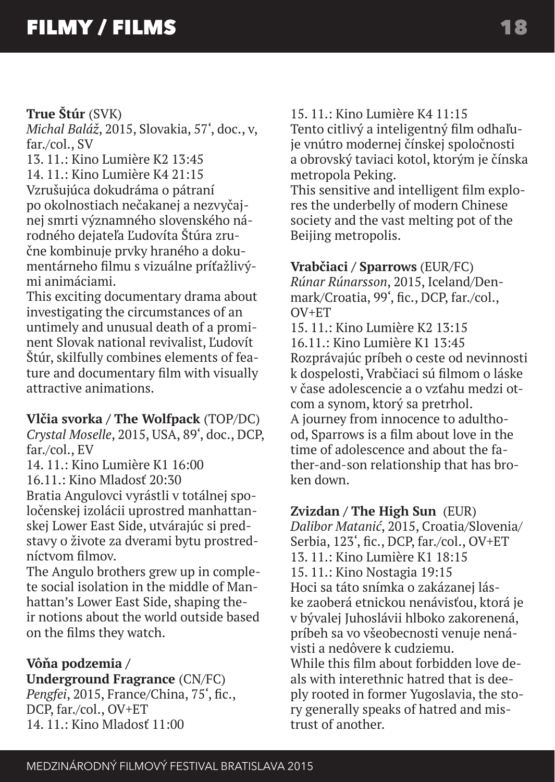#### **True Štúr** (SVK)

*Michal Baláž*, 2015, Slovakia, 57', doc., v, far./col., SV

13. 11.: Kino Lumière K2 13:45  $14.11 \cdot$  Kino Lumière K4 21:15 Vzrušujúca dokudráma o pátraní po okolnostiach nečakanej a nezvyčajnej smrti významného slovenského národného dejateľa Ľudovíta Štúra zručne kombinuje prvky hraného a dokumentárneho filmu s vizuálne príťažlivými animáciami.

This exciting documentary drama about investigating the circumstances of an untimely and unusual death of a prominent Slovak national revivalist, Ľudovít Štúr, skilfully combines elements of feature and documentary film with visually attractive animations.

#### **Vlčia svorka / The Wolfpack** (TOP/DC)

*Crystal Moselle*, 2015, USA, 89', doc., DCP, far./col., EV

 $14.11 \cdot$  Kino Lumière K1  $16:00$ 

 $16.11 \cdot$  Kino Mladosť 20 $\cdot$ 30

Bratia Angulovci vyrástli v totálnej spoločenskej izolácii uprostred manhattanskej Lower East Side, utvárajúc si predstavy o živote za dverami bytu prostredníctvom filmov.

The Angulo brothers grew up in complete social isolation in the middle of Manhattan's Lower East Side, shaping their notions about the world outside based on the films they watch.

#### **Vôňa podzemia /**

**Underground Fragrance** (CN/FC) *Pengfei*, 2015, France/China, 75', fic., DCP, far./col., OV+ET  $14.11 \cdot$  Kino Mladosť  $11:00$ 

15. 11.: Kino Lumière K4 11:15

Tento citlivý a inteligentný film odhaľuje vnútro modernej čínskej spoločnosti a obrovský taviaci kotol, ktorým je čínska metropola Peking.

This sensitive and intelligent film explores the underbelly of modern Chinese society and the vast melting pot of the Beijing metropolis.

#### **Vrabčiaci / Sparrows** (EUR/FC)

*Rúnar Rúnarsson*, 2015, Iceland/Denmark/Croatia, 99', fic., DCP, far./col.,  $O$ V+ $ET$ 

15. 11.: Kino Lumière K2 13:15 16.11.: Kino Lumière K1 13:45 Rozprávajúc príbeh o ceste od nevinnosti k dospelosti, Vrabčiaci sú filmom o láske v čase adolescencie a o vzťahu medzi otcom a synom, ktorý sa pretrhol. A journey from innocence to adulthood, Sparrows is a film about love in the time of adolescence and about the father-and-son relationship that has broken down.

#### **Zvizdan / The High Sun** (EUR)

*Dalibor Matanić*, 2015, Croatia/Slovenia/ Serbia, 123', fic., DCP, far./col., OV+ET 13. 11.: Kino Lumière K1 18:15 15. 11.: Kino Nostagia 19:15 Hoci sa táto snímka o zakázanej láske zaoberá etnickou nenávisťou, ktorá je v bývalej Juhoslávii hlboko zakorenená, príbeh sa vo všeobecnosti venuje nenávisti a nedôvere k cudziemu. While this film about forbidden love deals with interethnic hatred that is deeply rooted in former Yugoslavia, the story generally speaks of hatred and mistrust of another.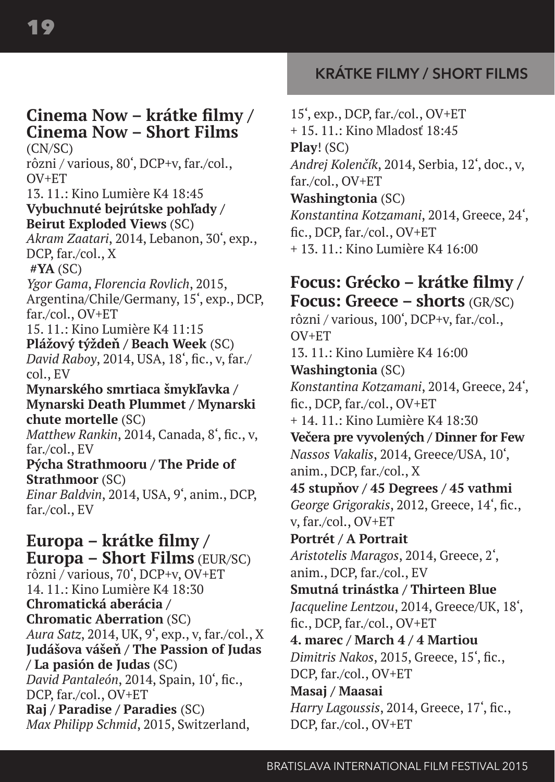# **Cinema Now – krátke filmy / Cinema Now – Short Films**

(CN/SC) rôzni / various, 80', DCP+v, far./col.,  $OVI + FT$ 13. 11.: Kino Lumière K4 18:45 **Vybuchnuté bejrútske pohľady / Beirut Exploded Views** (SC) *Akram Zaatari*, 2014, Lebanon, 30', exp., DCP, far./col., X  **#YA** (SC) *Ygor Gama*, *Florencia Rovlich*, 2015, Argentina/Chile/Germany, 15', exp., DCP, far./col., OV+ET 15. 11.: Kino Lumière K4 11:15 **Plážový týždeň / Beach Week** (SC) *David Raboy*, 2014, USA, 18', fic., v, far./ col., EV **Mynarského smrtiaca šmykľavka /** 

**Mynarski Death Plummet / Mynarski chute mortelle** (SC) *Matthew Rankin*, 2014, Canada, 8', fic., v,

far./col., EV

#### **Pýcha Strathmooru / The Pride of Strathmoor** (SC) *Einar Baldvin*, 2014, USA, 9', anim., DCP,

far./col., EV

**Europa – krátke filmy / Europa – Short Films** (EUR/SC) rôzni / various, 70', DCP+v, OV+ET 14. 11.: Kino Lumière K4 18:30 **Chromatická aberácia / Chromatic Aberration** (SC) *Aura Satz*, 2014, UK, 9', exp., v, far./col., X **Judášova vášeň / The Passion of Judas / La pasión de Judas** (SC) *David Pantaleón*, 2014, Spain, 10', fic., DCP, far./col., OV+ET **Raj / Paradise / Paradies** (SC) *Max Philipp Schmid*, 2015, Switzerland,

# **KRÁTKE FILMY / SHORT FILMS**

15', exp., DCP, far./col., OV+ET + 15. 11.: Kino Mladosť 18:45 **Play**! (SC) *Andrej Kolenčík*, 2014, Serbia, 12', doc., v, far./col., OV+ET **Washingtonia** (SC) *Konstantina Kotzamani*, 2014, Greece, 24', fic., DCP, far./col., OV+ET + 13. 11.: Kino Lumière K4 16:00

# **Focus: Grécko – krátke filmy / Focus: Greece – shorts** (GR/SC)

rôzni / various, 100', DCP+v, far./col., OV+ET 13. 11.: Kino Lumière K4 16:00 **Washingtonia** (SC) *Konstantina Kotzamani*, 2014, Greece, 24', fic., DCP, far./col., OV+ET  $+14.11 \cdot$  Kino Lumière K4 18:30 **Večera pre vyvolených / Dinner for Few**  *Nassos Vakalis*, 2014, Greece/USA, 10', anim., DCP, far./col., X **45 stupňov / 45 Degrees / 45 vathmi**  *George Grigorakis*, 2012, Greece, 14', fic., v, far./col., OV+ET **Portrét / A Portrait**  *Aristotelis Maragos*, 2014, Greece, 2', anim., DCP, far./col., EV **Smutná trinástka / Thirteen Blue**  *Jacqueline Lentzou*, 2014, Greece/UK, 18', fic., DCP, far./col., OV+ET **4. marec / March 4 / 4 Martiou**  *Dimitris Nakos*, 2015, Greece, 15', fic., DCP, far./col., OV+ET **Masaj / Maasai**  *Harry Lagoussis*, 2014, Greece, 17', fic., DCP, far./col., OV+ET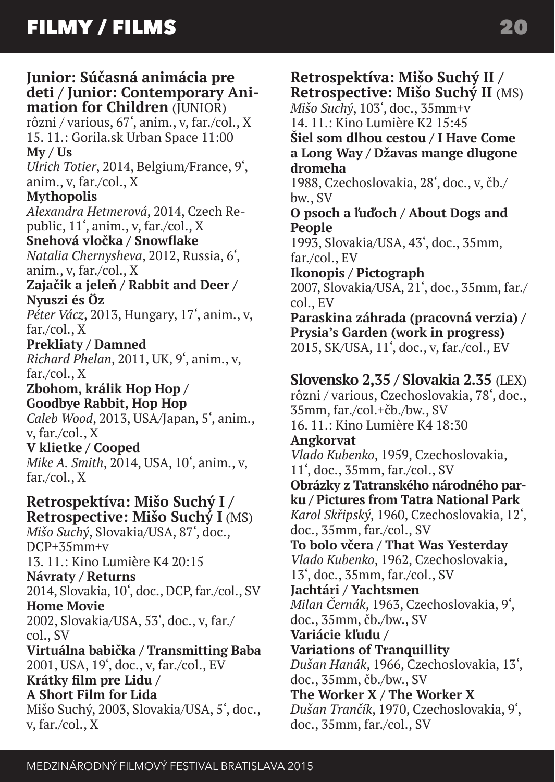# **Junior: Súčasná animácia pre deti / Junior: Contemporary Ani- mation for Children** (JUNIOR)

rôzni / various, 67', anim., v, far./col., X 15. 11.: Gorila.sk Urban Space 11:00 **My / Us**

*Ulrich Totier*, 2014, Belgium/France, 9', anim., v, far./col., X

#### **Mythopolis**

*Alexandra Hetmerová*, 2014, Czech Republic, 11', anim., v, far./col., X

**Snehová vločka / Snowflake**  *Natalia Chernysheva*, 2012, Russia, 6',

anim., v, far./col., X

**Zajačik a jeleň / Rabbit and Deer / Nyuszi és Öz** 

*Péter Vácz*, 2013, Hungary, 17', anim., v, far./col., X

**Prekliaty / Damned**  *Richard Phelan*, 2011, UK, 9', anim., v, far./col., X

**Zbohom, králik Hop Hop / Goodbye Rabbit, Hop Hop**  *Caleb Wood*, 2013, USA/Japan, 5', anim., v, far./col., X

**V klietke / Cooped**  *Mike A. Smith*, 2014, USA, 10', anim., v, far./col., X

**Retrospektíva: Mišo Suchý I / Retrospective: Mišo Suchý I** (MS) *Mišo Suchý*, Slovakia/USA, 87', doc.,  $DCP+35mm+v$ 13. 11.: Kino Lumière K4 20:15 **Návraty / Returns**  2014, Slovakia, 10', doc., DCP, far./col., SV **Home Movie** 2002, Slovakia/USA, 53', doc., v, far./ col., SV **Virtuálna babička / Transmitting Baba**  2001, USA, 19', doc., v, far./col., EV **Krátky film pre Lidu / A Short Film for Lida** Mišo Suchý, 2003, Slovakia/USA, 5', doc., v, far./col., X

### **Retrospektíva: Mišo Suchý II / Retrospective: Mišo Suchý II** (MS)

*Mišo Suchý*, 103', doc., 35mm+v 14. 11.: Kino Lumière K2 15:45

**Šiel som dlhou cestou / I Have Come a Long Way / Džavas mange dlugone dromeha** 

1988, Czechoslovakia, 28', doc., v, čb./ bw., SV

**O psoch a ľuďoch / About Dogs and People** 

1993, Slovakia/USA, 43', doc., 35mm, far./col., EV

**Ikonopis / Pictograph**  2007, Slovakia/USA, 21', doc., 35mm, far./ col., EV

**Paraskina záhrada (pracovná verzia) / Prysia's Garden (work in progress)**  2015, SK/USA, 11', doc., v, far./col., EV

## **Slovensko 2,35 / Slovakia 2.35** (LEX)

rôzni / various, Czechoslovakia, 78', doc., 35mm, far./col.+čb./bw., SV 16. 11.: Kino Lumière K4 18:30 **Angkorvat**

*Vlado Kubenko*, 1959, Czechoslovakia, 11', doc., 35mm, far./col., SV

**Obrázky z Tatranského národného parku / Pictures from Tatra National Park**  *Karol Skřipský*, 1960, Czechoslovakia, 12', doc., 35mm, far./col., SV

**To bolo včera / That Was Yesterday**  *Vlado Kubenko*, 1962, Czechoslovakia, 13', doc., 35mm, far./col., SV

**Jachtári / Yachtsmen**  *Milan Černák*, 1963, Czechoslovakia, 9', doc., 35mm, čb./bw., SV

**Variácie kľudu /** 

**Variations of Tranquillity**  *Dušan Hanák*, 1966, Czechoslovakia, 13', doc., 35mm, čb./bw., SV

**The Worker X / The Worker X**  *Dušan Trančík*, 1970, Czechoslovakia, 9', doc., 35mm, far./col., SV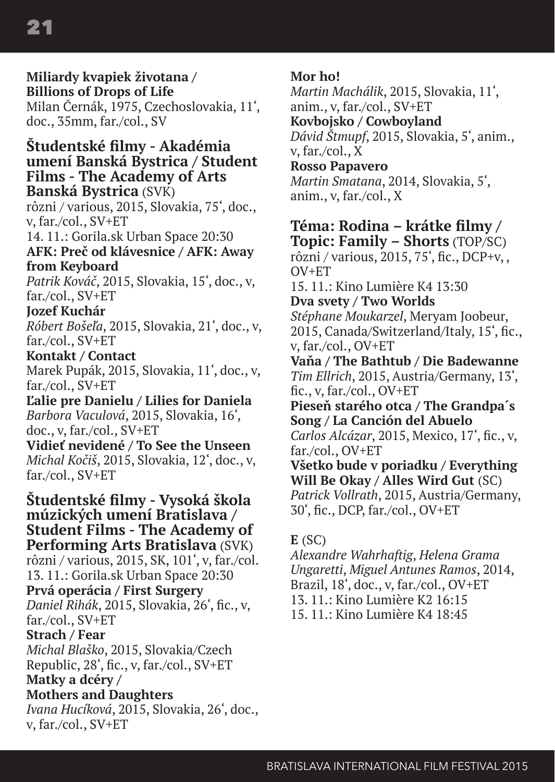**Miliardy kvapiek životana / Billions of Drops of Life**  Milan Černák, 1975, Czechoslovakia, 11', doc., 35mm, far./col., SV **Študentské filmy - Akadémia umení Banská Bystrica / Student Films - The Academy of Arts Banská Bystrica** (SVK) rôzni / various, 2015, Slovakia, 75', doc., v, far./col., SV+ET 14. 11.: Gorila.sk Urban Space 20:30 **AFK: Preč od klávesnice / AFK: Away from Keyboard**  *Patrik Kováč*, 2015, Slovakia, 15', doc., v, far./col., SV+ET **Jozef Kuchár**  *Róbert Bošeľa*, 2015, Slovakia, 21', doc., v, far./col., SV+ET **Kontakt / Contact**  Marek Pupák, 2015, Slovakia, 11', doc., v, far./col., SV+ET **Ľalie pre Danielu / Lilies for Daniela**  *Barbora Vaculová*, 2015, Slovakia, 16', doc., v, far./col., SV+ET **Vidieť nevidené / To See the Unseen** *Michal Kočiš*, 2015, Slovakia, 12', doc., v, far./col., SV+ET **Študentské filmy - Vysoká škola múzických umení Bratislava / Student Films - The Academy of Performing Arts Bratislava** (SVK) rôzni / various, 2015, SK, 101', v, far./col. 13. 11.: Gorila.sk Urban Space 20:30 **Prvá operácia / First Surgery** *Daniel Rihák*, 2015, Slovakia, 26', fic., v, far./col., SV+ET **Strach / Fear**  *Michal Blaško*, 2015, Slovakia/Czech Republic, 28', fic., v, far./col., SV+ET **Matky a dcéry / Mothers and Daughters** 

*Ivana Hucíková*, 2015, Slovakia, 26', doc., v, far./col., SV+ET

#### **Mor ho!**

*Martin Machálik*, 2015, Slovakia, 11', anim., v, far./col., SV+ET **Kovbojsko / Cowboyland**  *Dávid Štmupf*, 2015, Slovakia, 5', anim., v, far./col., X **Rosso Papavero**  *Martin Smatana*, 2014, Slovakia, 5', anim., v, far./col., X

#### **Téma: Rodina – krátke filmy / Topic: Family – Shorts** (TOP/SC)

rôzni / various, 2015, 75', fic., DCP+v, , OV+ET

 $15.11 \cdot$  Kino Lumière K4  $13:30$ 

**Dva svety / Two Worlds**  *Stéphane Moukarzel*, Meryam Joobeur, 2015, Canada/Switzerland/Italy, 15', fic., v, far./col., OV+ET

**Vaňa / The Bathtub / Die Badewanne**  *Tim Ellrich*, 2015, Austria/Germany, 13', fic., v, far./col., OV+ET

**Pieseň starého otca / The Grandpa´s Song / La Canción del Abuelo**  *Carlos Alcázar*, 2015, Mexico, 17', fic., v,

far./col., OV+ET

**Všetko bude v poriadku / Everything Will Be Okay / Alles Wird Gut** (SC) *Patrick Vollrath*, 2015, Austria/Germany, 30', fic., DCP, far./col., OV+ET

#### **E** (SC)

*Alexandre Wahrhaftig*, *Helena Grama Ungaretti*, *Miguel Antunes Ramos*, 2014, Brazil, 18', doc., v, far./col., OV+ET 13. 11.: Kino Lumière K2 16:15 15. 11  $\cdot$  Kino Lumière K4 18 $\cdot$ 45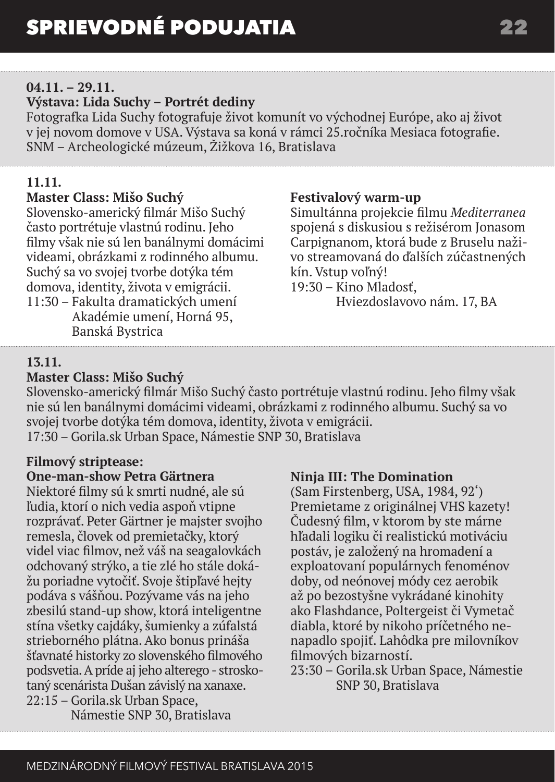#### **04.11. – 29.11.**

#### **Výstava: Lida Suchy – Portrét dediny**

Fotografka Lida Suchy fotografuje život komunít vo východnej Európe, ako aj život v jej novom domove v USA. Výstava sa koná v rámci 25.ročníka Mesiaca fotografie. SNM – Archeologické múzeum, Žižkova 16, Bratislava

### **11.11.**

#### **Master Class: Mišo Suchý**

Slovensko-americký filmár Mišo Suchý často portrétuje vlastnú rodinu. Jeho filmy však nie sú len banálnymi domácimi videami, obrázkami z rodinného albumu. Suchý sa vo svojej tvorbe dotýka tém domova, identity, života v emigrácii.

11:30 – Fakulta dramatických umení Akadémie umení, Horná 95, Banská Bystrica

#### **Festivalový warm-up**

Simultánna projekcie filmu *Mediterranea* spojená s diskusiou s režisérom Jonasom Carpignanom, ktorá bude z Bruselu naživo streamovaná do ďalších zúčastnených kín. Vstup voľný!

19:30 – Kino Mladosť,

Hviezdoslavovo nám. 17, BA

#### **13.11.**

### **Master Class: Mišo Suchý**

Slovensko-americký filmár Mišo Suchý často portrétuje vlastnú rodinu. Jeho filmy však nie sú len banálnymi domácimi videami, obrázkami z rodinného albumu. Suchý sa vo svojej tvorbe dotýka tém domova, identity, života v emigrácii. 17:30 – Gorila.sk Urban Space, Námestie SNP 30, Bratislava

### **Filmový striptease:**

#### **One-man-show Petra Gärtnera**

Niektoré filmy sú k smrti nudné, ale sú ľudia, ktorí o nich vedia aspoň vtipne rozprávať. Peter Gärtner je majster svojho remesla, človek od premietačky, ktorý videl viac filmov, než váš na seagalovkách odchovaný strýko, a tie zlé ho stále dokážu poriadne vytočiť. Svoje štipľavé hejty podáva s vášňou. Pozývame vás na jeho zbesilú stand-up show, ktorá inteligentne stína všetky cajdáky, šumienky a zúfalstá strieborného plátna. Ako bonus prináša šťavnaté historky zo slovenského filmového podsvetia. A príde aj jeho alterego - stroskotaný scenárista Dušan závislý na xanaxe. 22:15 – Gorila.sk Urban Space,

**Ninja III: The Domination**

(Sam Firstenberg, USA, 1984, 92') Premietame z originálnej VHS kazety! Čudesný film, v ktorom by ste márne hľadali logiku či realistickú motiváciu postáv, je založený na hromadení a exploatovaní populárnych fenoménov doby, od neónovej módy cez aerobik až po bezostyšne vykrádané kinohity ako Flashdance, Poltergeist či Vymetač diabla, ktoré by nikoho príčetného nenapadlo spojiť. Lahôdka pre milovníkov filmových bizarností.

23:30 – Gorila.sk Urban Space, Námestie SNP 30, Bratislava

Námestie SNP 30, Bratislava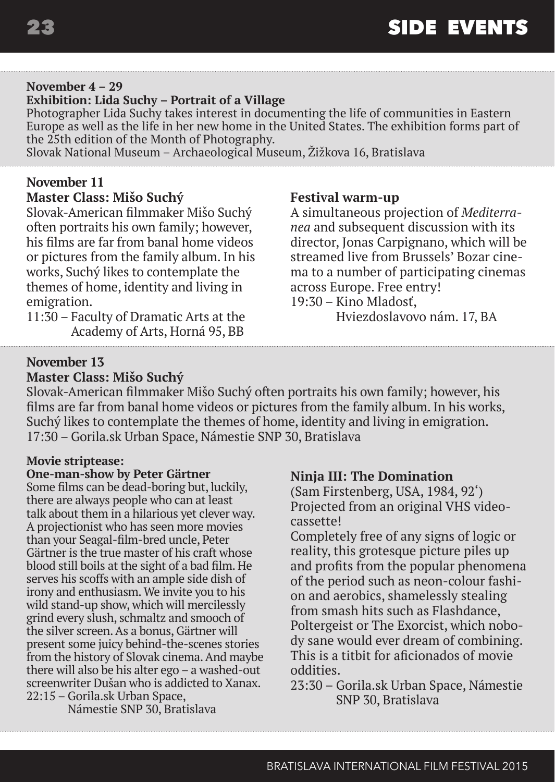#### **November 4 – 29**

#### **Exhibition: Lida Suchy – Portrait of a Village**

Photographer Lida Suchy takes interest in documenting the life of communities in Eastern Europe as well as the life in her new home in the United States. The exhibition forms part of the 25th edition of the Month of Photography.

Slovak National Museum – Archaeological Museum, Žižkova 16, Bratislava

#### **November 11**

#### **Master Class: Mišo Suchý**

Slovak-American filmmaker Mišo Suchý often portraits his own family; however, his films are far from banal home videos or pictures from the family album. In his works, Suchý likes to contemplate the themes of home, identity and living in emigration.

11:30 – Faculty of Dramatic Arts at the Academy of Arts, Horná 95, BB

#### **Festival warm-up**

A simultaneous projection of *Mediterranea* and subsequent discussion with its director, Jonas Carpignano, which will be streamed live from Brussels' Bozar cinema to a number of participating cinemas across Europe. Free entry! 19:30 – Kino Mladosť,

Hviezdoslavovo nám. 17, BA

#### **November 13 Master Class: Mišo Suchý**

Slovak-American filmmaker Mišo Suchý often portraits his own family; however, his films are far from banal home videos or pictures from the family album. In his works, Suchý likes to contemplate the themes of home, identity and living in emigration. 17:30 – Gorila.sk Urban Space, Námestie SNP 30, Bratislava

#### **Movie striptease:**

#### **One-man-show by Peter Gärtner**

Some films can be dead-boring but, luckily, there are always people who can at least talk about them in a hilarious yet clever way. A projectionist who has seen more movies than your Seagal-film-bred uncle, Peter Gärtner is the true master of his craft whose blood still boils at the sight of a bad film. He serves his scoffs with an ample side dish of irony and enthusiasm. We invite you to his wild stand-up show, which will mercilessly grind every slush, schmaltz and smooch of the silver screen. As a bonus, Gärtner will present some juicy behind-the-scenes stories from the history of Slovak cinema. And maybe there will also be his alter ego – a washed-out screenwriter Dušan who is addicted to Xanax. 22:15 – Gorila.sk Urban Space,

Námestie SNP 30, Bratislava

#### **Ninja III: The Domination**

(Sam Firstenberg, USA, 1984, 92') Projected from an original VHS videocassette!

Completely free of any signs of logic or reality, this grotesque picture piles up and profits from the popular phenomena of the period such as neon-colour fashion and aerobics, shamelessly stealing from smash hits such as Flashdance, Poltergeist or The Exorcist, which nobody sane would ever dream of combining. This is a titbit for aficionados of movie oddities.

23:30 – Gorila.sk Urban Space, Námestie SNP 30, Bratislava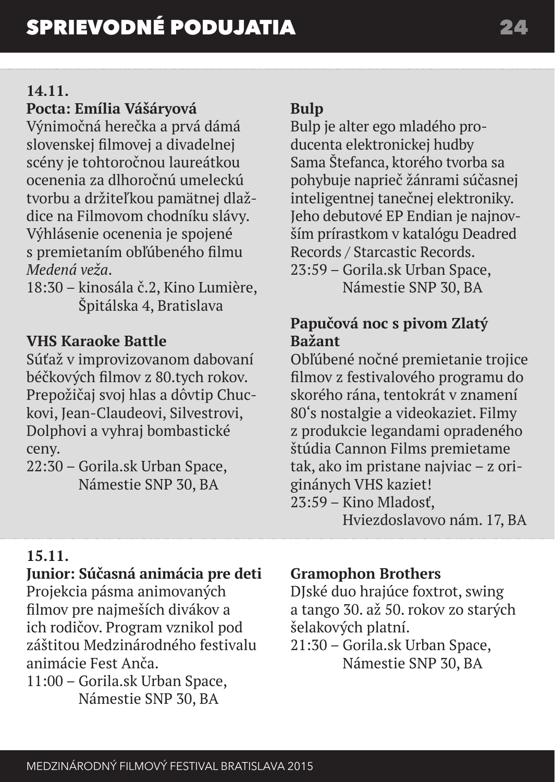### **14.11.**

# **Pocta: Emília Vášáryová**

Výnimočná herečka a prvá dámá slovenskej filmovej a divadelnej scény je tohtoročnou laureátkou ocenenia za dlhoročnú umeleckú tvorbu a držiteľkou pamätnej dlaždice na Filmovom chodníku slávy. Výhlásenie ocenenia je spojené s premietaním obľúbeného filmu *Medená veža*.

18:30 – kinosála č.2, Kino Lumière, Špitálska 4, Bratislava

### **VHS Karaoke Battle**

Súťaž v improvizovanom dabovaní béčkových filmov z 80.tych rokov. Prepožičaj svoj hlas a dôvtip Chuckovi, Jean-Claudeovi, Silvestrovi, Dolphovi a vyhraj bombastické ceny.

22:30 – Gorila.sk Urban Space, Námestie SNP 30, BA

# **Bulp**

Bulp je alter ego mladého producenta elektronickej hudby Sama Štefanca, ktorého tvorba sa pohybuje naprieč žánrami súčasnej inteligentnej tanečnej elektroniky. Jeho debutové EP Endian je najnovším prírastkom v katalógu Deadred Records / Starcastic Records. 23:59 – Gorila.sk Urban Space, Námestie SNP 30, BA

# **Papučová noc s pivom Zlatý Bažant**

Obľúbené nočné premietanie trojice filmov z festivalového programu do skorého rána, tentokrát v znamení 80's nostalgie a videokaziet. Filmy z produkcie legandami opradeného štúdia Cannon Films premietame tak, ako im pristane najviac – z originánych VHS kaziet! 23:59 – Kino Mladosť, Hviezdoslavovo nám. 17, BA

# **15.11.**

### **Junior: Súčasná animácia pre deti**

Projekcia pásma animovaných filmov pre najmeších divákov a ich rodičov. Program vznikol pod záštitou Medzinárodného festivalu animácie Fest Anča. 11:00 – Gorila.sk Urban Space,

Námestie SNP 30, BA

# **Gramophon Brothers**

DJské duo hrajúce foxtrot, swing a tango 30. až 50. rokov zo starých šelakových platní.

21:30 – Gorila.sk Urban Space, Námestie SNP 30, BA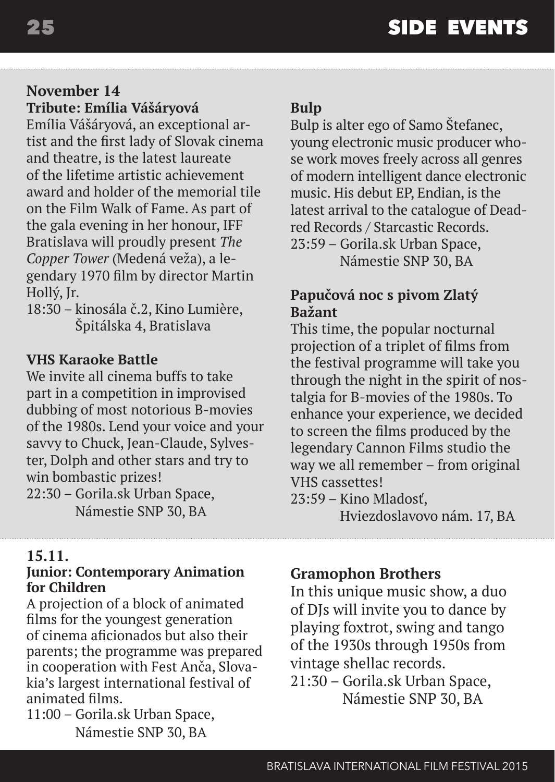#### **November 14 Tribute: Emília Vášáryová**

Emília Vášáryová, an exceptional artist and the first lady of Slovak cinema and theatre, is the latest laureate of the lifetime artistic achievement award and holder of the memorial tile on the Film Walk of Fame. As part of the gala evening in her honour, IFF Bratislava will proudly present *The Copper Tower* (Medená veža), a legendary 1970 film by director Martin Hollý, Jr.

18:30 – kinosála č.2, Kino Lumière, Špitálska 4, Bratislava

#### **VHS Karaoke Battle**

We invite all cinema buffs to take part in a competition in improvised dubbing of most notorious B-movies of the 1980s. Lend your voice and your savvy to Chuck, Jean-Claude, Sylvester, Dolph and other stars and try to win bombastic prizes! 22:30 – Gorila.sk Urban Space, Námestie SNP 30, BA

#### **15.11.**

#### **Junior: Contemporary Animation for Children**

A projection of a block of animated films for the youngest generation of cinema aficionados but also their parents; the programme was prepared in cooperation with Fest Anča, Slovakia's largest international festival of animated films.

11:00 – Gorila.sk Urban Space, Námestie SNP 30, BA

### **Bulp**

Bulp is alter ego of Samo Štefanec, young electronic music producer whose work moves freely across all genres of modern intelligent dance electronic music. His debut EP, Endian, is the latest arrival to the catalogue of Deadred Records / Starcastic Records. 23:59 – Gorila.sk Urban Space, Námestie SNP 30, BA

### **Papučová noc s pivom Zlatý Bažant**

This time, the popular nocturnal projection of a triplet of films from the festival programme will take you through the night in the spirit of nostalgia for B-movies of the 1980s. To enhance your experience, we decided to screen the films produced by the legendary Cannon Films studio the way we all remember – from original VHS cassettes! 23:59 – Kino Mladosť,

Hviezdoslavovo nám. 17, BA

# **Gramophon Brothers**

In this unique music show, a duo of DJs will invite you to dance by playing foxtrot, swing and tango of the 1930s through 1950s from vintage shellac records.

21:30 – Gorila.sk Urban Space, Námestie SNP 30, BA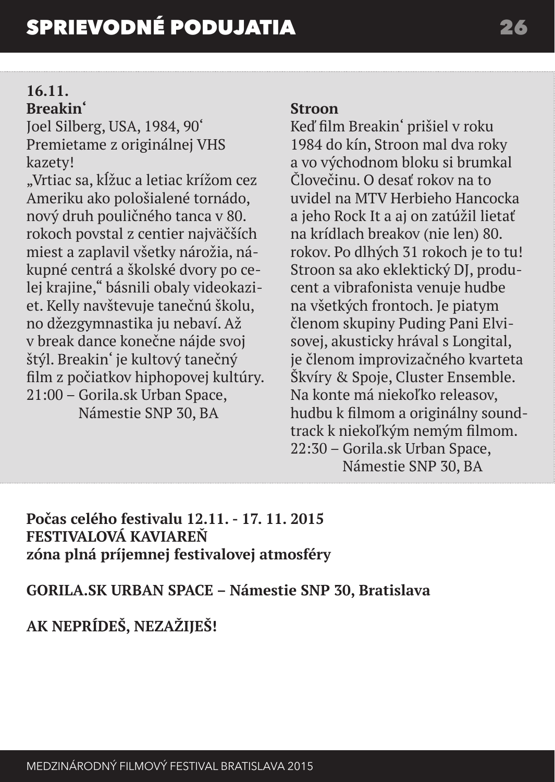# **16.11.**

# **Breakin'**

Joel Silberg, USA, 1984, 90' Premietame z originálnej VHS kazety!

"Vrtiac sa, kĺžuc a letiac krížom cez Ameriku ako pološialené tornádo, nový druh pouličného tanca v 80. rokoch povstal z centier najväčších miest a zaplavil všetky nárožia, nákupné centrá a školské dvory po celej krajine," básnili obaly videokaziet. Kelly navštevuje tanečnú školu, no džezgymnastika ju nebaví. Až v break dance konečne nájde svoj štýl. Breakin' je kultový tanečný film z počiatkov hiphopovej kultúry. 21:00 – Gorila.sk Urban Space, Námestie SNP 30, BA

### **Stroon**

Keď film Breakin' prišiel v roku 1984 do kín, Stroon mal dva roky a vo východnom bloku si brumkal Človečinu. O desať rokov na to uvidel na MTV Herbieho Hancocka a jeho Rock It a aj on zatúžil lietať na krídlach breakov (nie len) 80. rokov. Po dlhých 31 rokoch je to tu! Stroon sa ako eklektický DJ, producent a vibrafonista venuje hudbe na všetkých frontoch. Je piatym členom skupiny Puding Pani Elvisovej, akusticky hrával s Longital, je členom improvizačného kvarteta Škvíry & Spoje, Cluster Ensemble. Na konte má niekoľko releasov, hudbu k filmom a originálny soundtrack k niekoľkým nemým filmom. 22:30 – Gorila.sk Urban Space, Námestie SNP 30, BA

**Počas celého festivalu 12.11. - 17. 11. 2015 FESTIVALOVÁ KAVIAREŇ zóna plná príjemnej festivalovej atmosféry**

# **GORILA.SK URBAN SPACE – Námestie SNP 30, Bratislava**

# **AK NEPRÍDEŠ, NEZAŽIJEŠ!**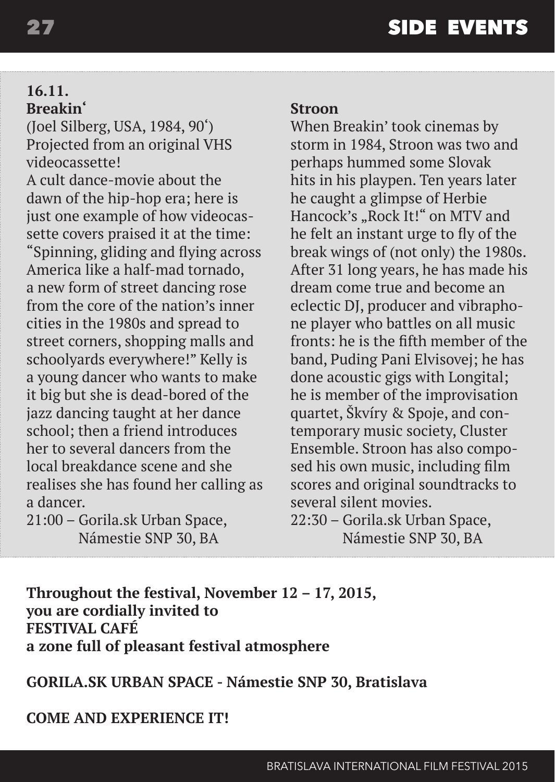#### **16.11. Breakin'**

(Joel Silberg, USA, 1984, 90') Projected from an original VHS videocassette!

A cult dance-movie about the dawn of the hip-hop era; here is just one example of how videocassette covers praised it at the time: "Spinning, gliding and flying across America like a half-mad tornado, a new form of street dancing rose from the core of the nation's inner cities in the 1980s and spread to street corners, shopping malls and schoolyards everywhere!" Kelly is a young dancer who wants to make it big but she is dead-bored of the jazz dancing taught at her dance school; then a friend introduces her to several dancers from the local breakdance scene and she realises she has found her calling as a dancer.

21:00 – Gorila.sk Urban Space, Námestie SNP 30, BA

#### **Stroon**

When Breakin' took cinemas by storm in 1984, Stroon was two and perhaps hummed some Slovak hits in his playpen. Ten years later he caught a glimpse of Herbie Hancock's "Rock It!" on MTV and he felt an instant urge to fly of the break wings of (not only) the 1980s. After 31 long years, he has made his dream come true and become an eclectic DJ, producer and vibraphone player who battles on all music fronts: he is the fifth member of the band, Puding Pani Elvisovej; he has done acoustic gigs with Longital; he is member of the improvisation quartet, Škvíry & Spoje, and contemporary music society, Cluster Ensemble. Stroon has also composed his own music, including film scores and original soundtracks to several silent movies. 22:30 – Gorila.sk Urban Space,

Námestie SNP 30, BA

**Throughout the festival, November 12 – 17, 2015, you are cordially invited to FESTIVAL CAFÉ a zone full of pleasant festival atmosphere** 

**GORILA.SK URBAN SPACE - Námestie SNP 30, Bratislava**

**COME AND EXPERIENCE IT!**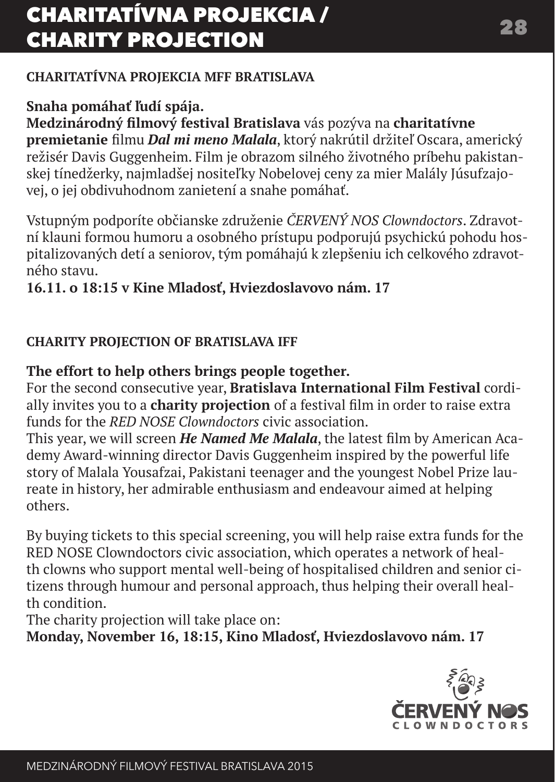# CHARITATÍVNA PROJEKCIA / CHARITY PROJECTION 28

### **CHARITATÍVNA PROJEKCIA MFF BRATISLAVA**

# **Snaha pomáhať ľudí spája.**

**Medzinárodný filmový festival Bratislava** vás pozýva na **charitatívne premietanie** filmu *Dal mi meno Malala*, ktorý nakrútil držiteľ Oscara, americký režisér Davis Guggenheim. Film je obrazom silného životného príbehu pakistanskej tínedžerky, najmladšej nositeľky Nobelovej ceny za mier Malály Júsufzajovej, o jej obdivuhodnom zanietení a snahe pomáhať.

Vstupným podporíte občianske združenie *ČERVENÝ NOS Clowndoctors*. Zdravotní klauni formou humoru a osobného prístupu podporujú psychickú pohodu hospitalizovaných detí a seniorov, tým pomáhajú k zlepšeniu ich celkového zdravotného stavu.

### **16.11. o 18:15 v Kine Mladosť, Hviezdoslavovo nám. 17**

### **CHARITY PROJECTION OF BRATISLAVA IFF**

### **The effort to help others brings people together.**

For the second consecutive year, **Bratislava International Film Festival** cordially invites you to a **charity projection** of a festival film in order to raise extra funds for the *RED NOSE Clowndoctors* civic association.

This year, we will screen *He Named Me Malala*, the latest film by American Academy Award-winning director Davis Guggenheim inspired by the powerful life story of Malala Yousafzai, Pakistani teenager and the youngest Nobel Prize laureate in history, her admirable enthusiasm and endeavour aimed at helping others.

By buying tickets to this special screening, you will help raise extra funds for the RED NOSE Clowndoctors civic association, which operates a network of health clowns who support mental well-being of hospitalised children and senior citizens through humour and personal approach, thus helping their overall health condition.

The charity projection will take place on:

**Monday, November 16, 18:15, Kino Mladosť, Hviezdoslavovo nám. 17**

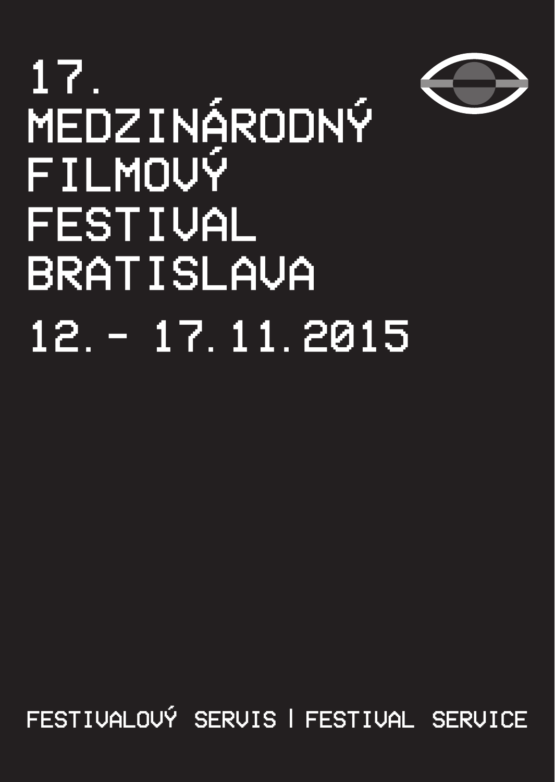

# 17. Medzinárodný filmový festival **BRATISLAVA** 12.- 17.11.2015

festivalový servis | festival service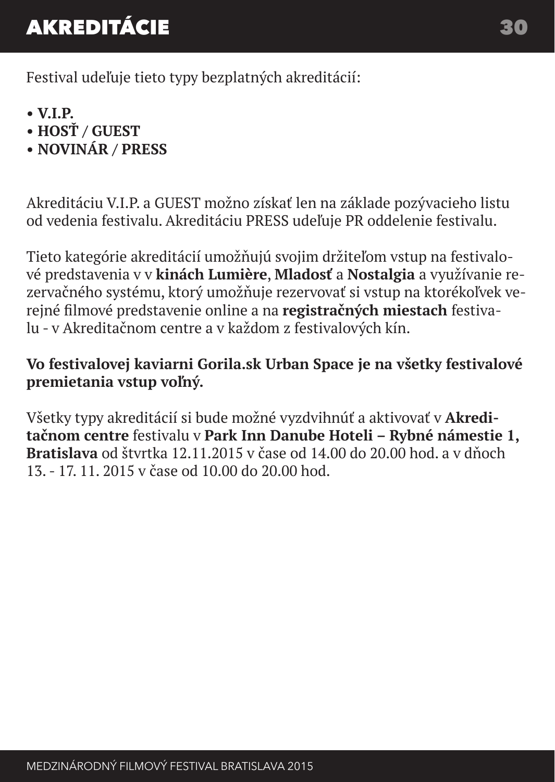# AKREDITÁCIE 30

Festival udeľuje tieto typy bezplatných akreditácií:

- **V.I.P.**
- **HOSŤ / GUEST**
- **NOVINÁR / PRESS**

Akreditáciu V.I.P. a GUEST možno získať len na základe pozývacieho listu od vedenia festivalu. Akreditáciu PRESS udeľuje PR oddelenie festivalu.

Tieto kategórie akreditácií umožňujú svojim držiteľom vstup na festivalové predstavenia v v **kinách Lumière**, **Mladosť** a **Nostalgia** a využívanie rezervačného systému, ktorý umožňuje rezervovať si vstup na ktorékoľvek verejné filmové predstavenie online a na **registračných miestach** festivalu - v Akreditačnom centre a v každom z festivalových kín.

# **Vo festivalovej kaviarni Gorila.sk Urban Space je na všetky festivalové premietania vstup voľný.**

Všetky typy akreditácií si bude možné vyzdvihnúť a aktivovať v **Akreditačnom centre** festivalu v **Park Inn Danube Hoteli – Rybné námestie 1, Bratislava** od štvrtka 12.11.2015 v čase od 14.00 do 20.00 hod. a v dňoch 13. - 17. 11. 2015 v čase od 10.00 do 20.00 hod.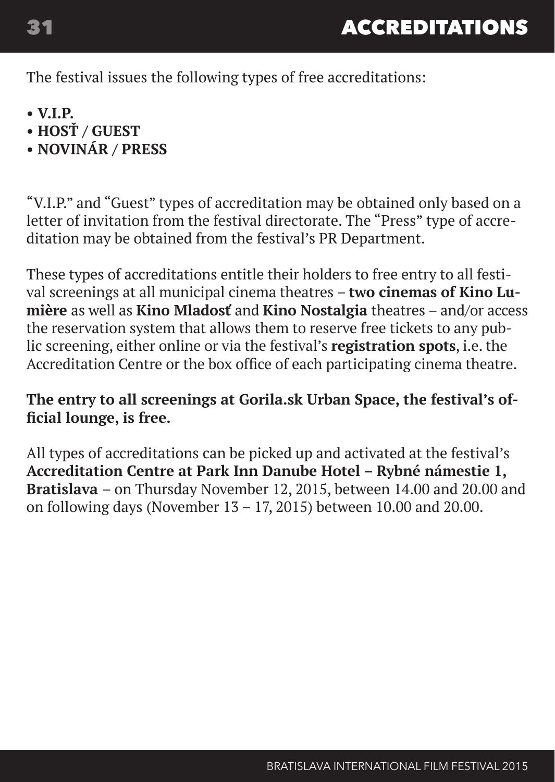The festival issues the following types of free accreditations:

- **V.I.P.**
- **HOSŤ / GUEST**
- **NOVINÁR / PRESS**

"V.I.P." and "Guest" types of accreditation may be obtained only based on a letter of invitation from the festival directorate. The "Press" type of accreditation may be obtained from the festival's PR Department.

These types of accreditations entitle their holders to free entry to all festival screenings at all municipal cinema theatres – **two cinemas of Kino Lumière** as well as **Kino Mladosť** and **Kino Nostalgia** theatres – and/or access the reservation system that allows them to reserve free tickets to any public screening, either online or via the festival's **registration spots**, i.e. the Accreditation Centre or the box office of each participating cinema theatre.

## **The entry to all screenings at Gorila.sk Urban Space, the festival's official lounge, is free.**

All types of accreditations can be picked up and activated at the festival's **Accreditation Centre at Park Inn Danube Hotel – Rybné námestie 1, Bratislava** – on Thursday November 12, 2015, between 14.00 and 20.00 and on following days (November 13 – 17, 2015) between 10.00 and 20.00.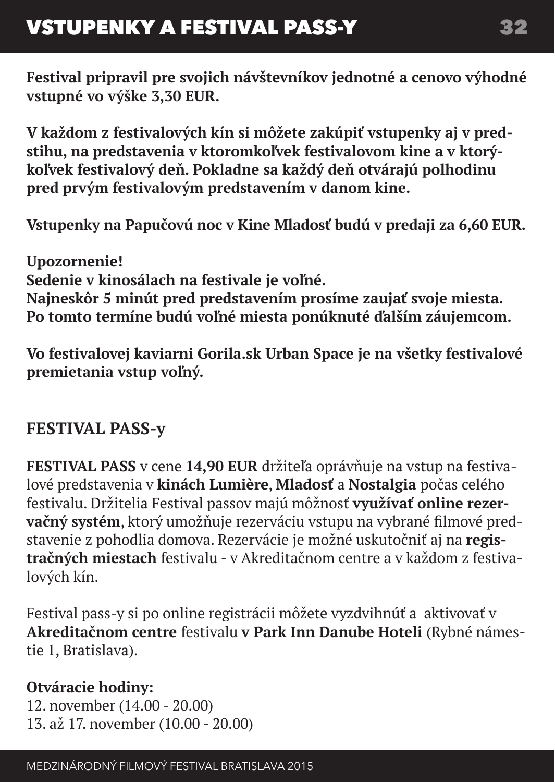**Festival pripravil pre svojich návštevníkov jednotné a cenovo výhodné vstupné vo výške 3,30 EUR.**

**V každom z festivalových kín si môžete zakúpiť vstupenky aj v predstihu, na predstavenia v ktoromkoľvek festivalovom kine a v ktorýkoľvek festivalový deň. Pokladne sa každý deň otvárajú polhodinu pred prvým festivalovým predstavením v danom kine.**

**Vstupenky na Papučovú noc v Kine Mladosť budú v predaji za 6,60 EUR.**

**Upozornenie! Sedenie v kinosálach na festivale je voľné. Najneskôr 5 minút pred predstavením prosíme zaujať svoje miesta. Po tomto termíne budú voľné miesta ponúknuté ďalším záujemcom.** 

**Vo festivalovej kaviarni Gorila.sk Urban Space je na všetky festivalové premietania vstup voľný.**

# **FESTIVAL PASS-y**

**FESTIVAL PASS** v cene **14,90 EUR** držiteľa oprávňuje na vstup na festivalové predstavenia v **kinách Lumière**, **Mladosť** a **Nostalgia** počas celého festivalu. Držitelia Festival passov majú môžnosť **využívať online rezervačný systém**, ktorý umožňuje rezerváciu vstupu na vybrané filmové predstavenie z pohodlia domova. Rezervácie je možné uskutočniť aj na **registračných miestach** festivalu - v Akreditačnom centre a v každom z festivalových kín.

Festival pass-y si po online registrácii môžete vyzdvihnúť a aktivovať v **Akreditačnom centre** festivalu **v Park Inn Danube Hoteli** (Rybné námestie 1, Bratislava).

# **Otváracie hodiny:**

12. november (14.00 - 20.00) 13. až 17. november (10.00 - 20.00)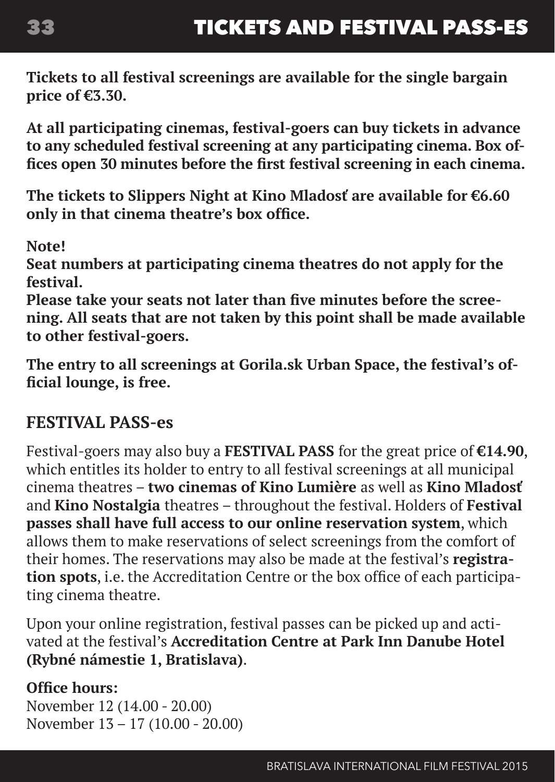**Tickets to all festival screenings are available for the single bargain price of €3.30.** 

**At all participating cinemas, festival-goers can buy tickets in advance to any scheduled festival screening at any participating cinema. Box offices open 30 minutes before the first festival screening in each cinema.**

**The tickets to Slippers Night at Kino Mladosť are available for €6.60 only in that cinema theatre's box office.** 

**Note!**

**Seat numbers at participating cinema theatres do not apply for the festival.** 

**Please take your seats not later than five minutes before the screening. All seats that are not taken by this point shall be made available to other festival-goers.** 

**The entry to all screenings at Gorila.sk Urban Space, the festival's official lounge, is free.**

# **FESTIVAL PASS-es**

Festival-goers may also buy a **FESTIVAL PASS** for the great price of **€14.90**, which entitles its holder to entry to all festival screenings at all municipal cinema theatres – **two cinemas of Kino Lumière** as well as **Kino Mladosť**  and **Kino Nostalgia** theatres – throughout the festival. Holders of **Festival passes shall have full access to our online reservation system**, which allows them to make reservations of select screenings from the comfort of their homes. The reservations may also be made at the festival's **registration spots**, i.e. the Accreditation Centre or the box office of each participating cinema theatre.

Upon your online registration, festival passes can be picked up and activated at the festival's **Accreditation Centre at Park Inn Danube Hotel (Rybné námestie 1, Bratislava)**.

### **Office hours:**

November 12 (14.00 - 20.00) November 13 – 17 (10.00 - 20.00)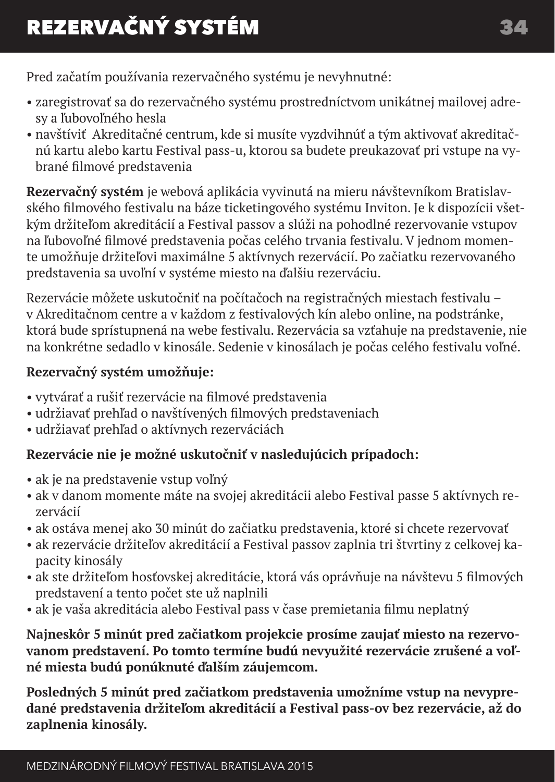Pred začatím používania rezervačného systému je nevyhnutné:

- zaregistrovať sa do rezervačného systému prostredníctvom unikátnej mailovej adresy a ľubovoľného hesla
- navštíviť Akreditačné centrum, kde si musíte vyzdvihnúť a tým aktivovať akreditačnú kartu alebo kartu Festival pass-u, ktorou sa budete preukazovať pri vstupe na vybrané filmové predstavenia

**Rezervačný systém** je webová aplikácia vyvinutá na mieru návštevníkom Bratislavského filmového festivalu na báze ticketingového systému Inviton. Je k dispozícii všetkým držiteľom akreditácií a Festival passov a slúži na pohodlné rezervovanie vstupov na ľubovoľné filmové predstavenia počas celého trvania festivalu. V jednom momente umožňuje držiteľovi maximálne 5 aktívnych rezervácií. Po začiatku rezervovaného predstavenia sa uvoľní v systéme miesto na ďalšiu rezerváciu.

Rezervácie môžete uskutočniť na počítačoch na registračných miestach festivalu – v Akreditačnom centre a v každom z festivalových kín alebo online, na podstránke, ktorá bude sprístupnená na webe festivalu. Rezervácia sa vzťahuje na predstavenie, nie na konkrétne sedadlo v kinosále. Sedenie v kinosálach je počas celého festivalu voľné.

### **Rezervačný systém umožňuje:**

- vytvárať a rušiť rezervácie na filmové predstavenia
- udržiavať prehľad o navštívených filmových predstaveniach
- udržiavať prehľad o aktívnych rezerváciách

### **Rezervácie nie je možné uskutočniť v nasledujúcich prípadoch:**

- ak je na predstavenie vstup voľný
- ak v danom momente máte na svojej akreditácii alebo Festival passe 5 aktívnych rezervácií
- ak ostáva menej ako 30 minút do začiatku predstavenia, ktoré si chcete rezervovať
- ak rezervácie držiteľov akreditácií a Festival passov zaplnia tri štvrtiny z celkovej kapacity kinosály
- ak ste držiteľom hosťovskej akreditácie, ktorá vás oprávňuje na návštevu 5 filmových predstavení a tento počet ste už naplnili
- ak je vaša akreditácia alebo Festival pass v čase premietania filmu neplatný

**Najneskôr 5 minút pred začiatkom projekcie prosíme zaujať miesto na rezervovanom predstavení. Po tomto termíne budú nevyužité rezervácie zrušené a voľné miesta budú ponúknuté ďalším záujemcom.**

**Posledných 5 minút pred začiatkom predstavenia umožníme vstup na nevypredané predstavenia držiteľom akreditácií a Festival pass-ov bez rezervácie, až do zaplnenia kinosály.**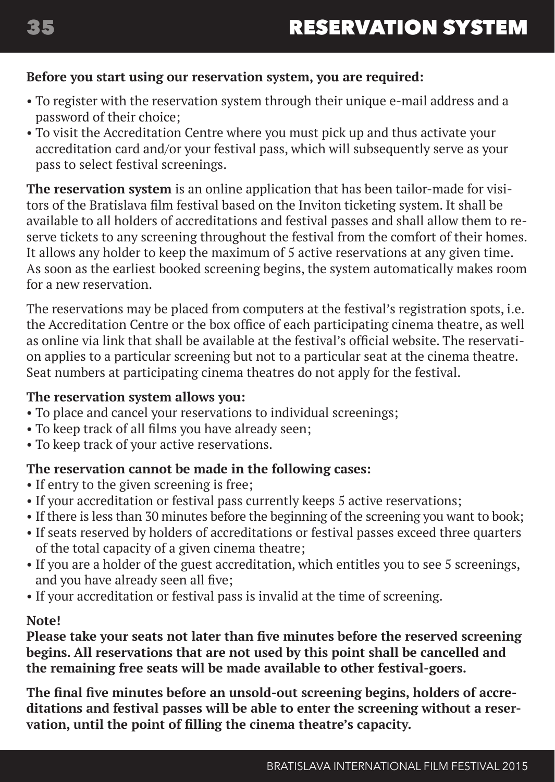#### **Before you start using our reservation system, you are required:**

- To register with the reservation system through their unique e-mail address and a password of their choice;
- To visit the Accreditation Centre where you must pick up and thus activate your accreditation card and/or your festival pass, which will subsequently serve as your pass to select festival screenings.

**The reservation system** is an online application that has been tailor-made for visitors of the Bratislava film festival based on the Inviton ticketing system. It shall be available to all holders of accreditations and festival passes and shall allow them to reserve tickets to any screening throughout the festival from the comfort of their homes. It allows any holder to keep the maximum of 5 active reservations at any given time. As soon as the earliest booked screening begins, the system automatically makes room for a new reservation.

The reservations may be placed from computers at the festival's registration spots, i.e. the Accreditation Centre or the box office of each participating cinema theatre, as well as online via link that shall be available at the festival's official website. The reservation applies to a particular screening but not to a particular seat at the cinema theatre. Seat numbers at participating cinema theatres do not apply for the festival.

#### **The reservation system allows you:**

- To place and cancel your reservations to individual screenings;
- To keep track of all films you have already seen;
- To keep track of your active reservations.

#### **The reservation cannot be made in the following cases:**

- If entry to the given screening is free;
- If your accreditation or festival pass currently keeps 5 active reservations;
- If there is less than 30 minutes before the beginning of the screening you want to book;
- If seats reserved by holders of accreditations or festival passes exceed three quarters of the total capacity of a given cinema theatre;
- If you are a holder of the guest accreditation, which entitles you to see 5 screenings, and you have already seen all five;
- If your accreditation or festival pass is invalid at the time of screening.

#### **Note!**

**Please take your seats not later than five minutes before the reserved screening begins. All reservations that are not used by this point shall be cancelled and the remaining free seats will be made available to other festival-goers.** 

**The final five minutes before an unsold-out screening begins, holders of accreditations and festival passes will be able to enter the screening without a reservation, until the point of filling the cinema theatre's capacity.**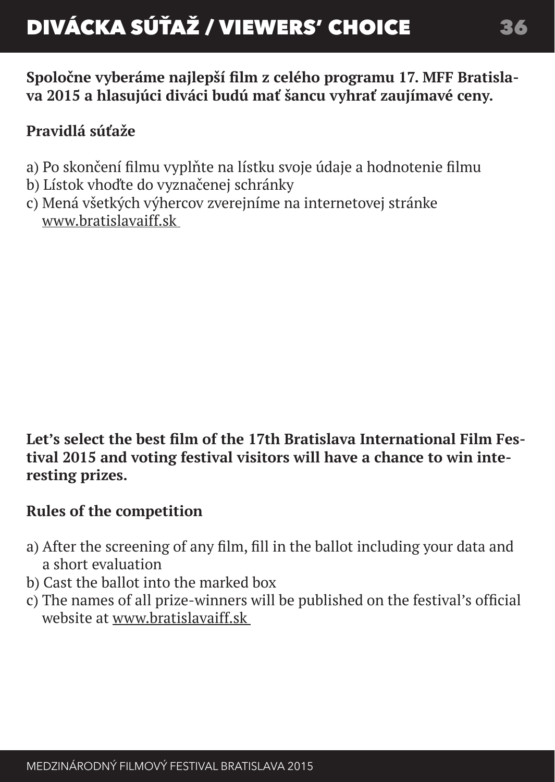**Spoločne vyberáme najlepší film z celého programu 17. MFF Bratislava 2015 a hlasujúci diváci budú mať šancu vyhrať zaujímavé ceny.**

# **Pravidlá súťaže**

- a) Po skončení filmu vyplňte na lístku svoje údaje a hodnotenie filmu
- b) Lístok vhoďte do vyznačenej schránky
- c) Mená všetkých výhercov zverejníme na internetovej stránke www.bratislavaiff.sk

**Let's select the best film of the 17th Bratislava International Film Festival 2015 and voting festival visitors will have a chance to win interesting prizes.**

# **Rules of the competition**

- a) After the screening of any film, fill in the ballot including your data and a short evaluation
- b) Cast the ballot into the marked box
- c) The names of all prize-winners will be published on the festival's official website at www.bratislavaiff.sk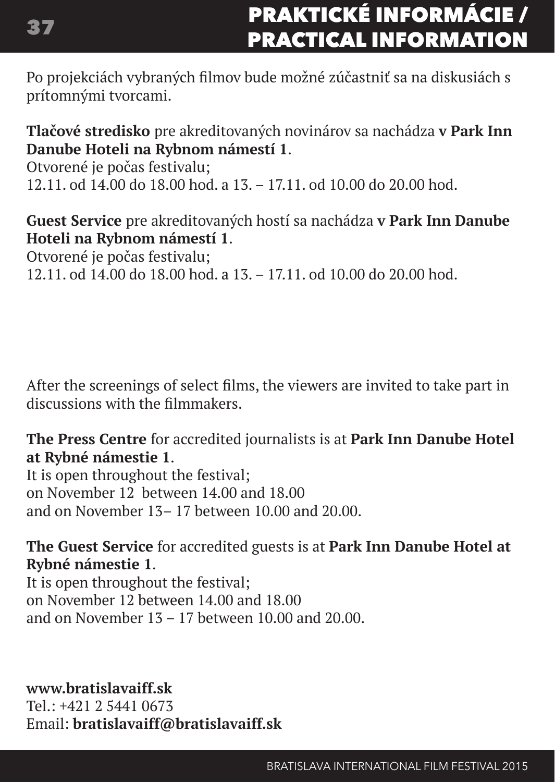# Praktické informácie / **PRACTICAL INFORMATION**

Po projekciách vybraných filmov bude možné zúčastniť sa na diskusiách s prítomnými tvorcami.

**Tlačové stredisko** pre akreditovaných novinárov sa nachádza **v Park Inn Danube Hoteli na Rybnom námestí 1**.

Otvorené je počas festivalu; 12.11. od 14.00 do 18.00 hod. a 13. – 17.11. od 10.00 do 20.00 hod.

**Guest Service** pre akreditovaných hostí sa nachádza **v Park Inn Danube Hoteli na Rybnom námestí 1**.

Otvorené je počas festivalu;

12.11. od 14.00 do 18.00 hod. a 13. – 17.11. od 10.00 do 20.00 hod.

After the screenings of select films, the viewers are invited to take part in discussions with the filmmakers.

**The Press Centre** for accredited journalists is at **Park Inn Danube Hotel at Rybné námestie 1**.

It is open throughout the festival; on November 12 between 14.00 and 18.00 and on November 13– 17 between 10.00 and 20.00.

**The Guest Service** for accredited guests is at **Park Inn Danube Hotel at Rybné námestie 1**.

It is open throughout the festival; on November 12 between 14.00 and 18.00 and on November 13 – 17 between 10.00 and 20.00.

**www.bratislavaiff.sk** 

 $Tel \t+421$  2 5441 0673 Email: **bratislavaiff@bratislavaiff.sk**